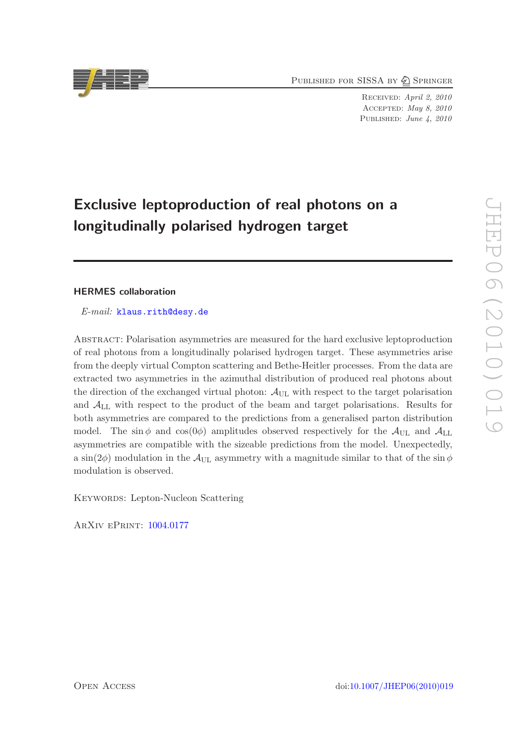PUBLISHED FOR SISSA BY 2 SPRINGER

Received: April 2, 2010 Accepted: May 8, 2010 PUBLISHED: June 4, 2010

# Exclusive leptoproduction of real photons on a longitudinally polarised hydrogen target

# HERMES collaboration

*E-mail:* [klaus.rith@desy.de](mailto:klaus.rith@desy.de)

Abstract: Polarisation asymmetries are measured for the hard exclusive leptoproduction of real photons from a longitudinally polarised hydrogen target. These asymmetries arise from the deeply virtual Compton scattering and Bethe-Heitler processes. From the data are extracted two asymmetries in the azimuthal distribution of produced real photons about the direction of the exchanged virtual photon:  $\mathcal{A}_{\text{UL}}$  with respect to the target polarisation and ALL with respect to the product of the beam and target polarisations. Results for both asymmetries are compared to the predictions from a generalised parton distribution model. The sin  $\phi$  and cos(0 $\phi$ ) amplitudes observed respectively for the  $\mathcal{A}_{\text{UL}}$  and  $\mathcal{A}_{\text{UL}}$ asymmetries are compatible with the sizeable predictions from the model. Unexpectedly, a sin(2 $\phi$ ) modulation in the  $\mathcal{A}_{\text{UL}}$  asymmetry with a magnitude similar to that of the sin $\phi$ modulation is observed.

KEYWORDS: Lepton-Nucleon Scattering

ArXiv ePrint: [1004.0177](http://arxiv.org/abs/1004.0177)

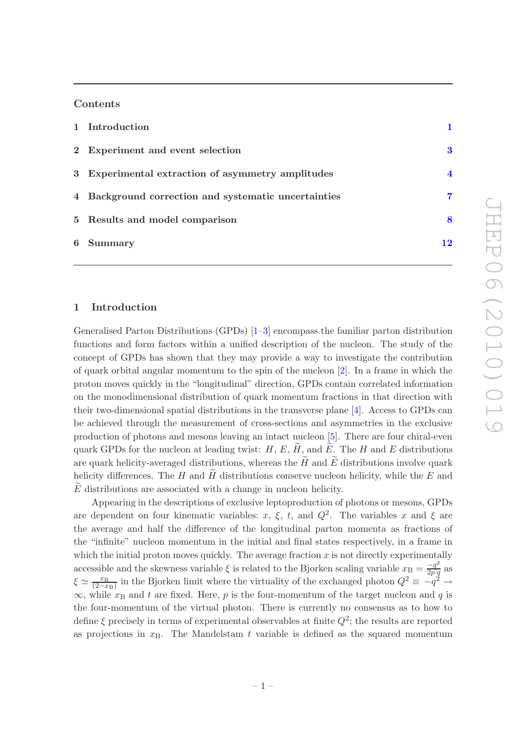# Contents

| 1 Introduction                                       |                         |
|------------------------------------------------------|-------------------------|
| 2 Experiment and event selection                     | 3                       |
| 3 Experimental extraction of asymmetry amplitudes    | $\overline{\mathbf{4}}$ |
| 4 Background correction and systematic uncertainties | 7                       |
| 5 Results and model comparison                       | 8                       |
| 6 Summary                                            | 12                      |

# <span id="page-1-0"></span>1 Introduction

Generalised Parton Distributions (GPDs) [\[1](#page-16-0)[–3](#page-16-1)] encompass the familiar parton distribution functions and form factors within a unified description of the nucleon. The study of the concept of GPDs has shown that they may provide a way to investigate the contribution of quark orbital angular momentum to the spin of the nucleon [\[2](#page-16-2)]. In a frame in which the proton moves quickly in the "longitudinal" direction, GPDs contain correlated information on the monodimensional distribution of quark momentum fractions in that direction with their two-dimensional spatial distributions in the transverse plane [\[4\]](#page-16-3). Access to GPDs can be achieved through the measurement of cross-sections and asymmetries in the exclusive production of photons and mesons leaving an intact nucleon [\[5\]](#page-16-4). There are four chiral-even quark GPDs for the nucleon at leading twist:  $H, E, H$ , and  $E$ . The H and E distributions are quark helicity-averaged distributions, whereas the  $\tilde{H}$  and  $\tilde{E}$  distributions involve quark helicity differences. The H and H distributions conserve nucleon helicity, while the E and  $E$  distributions are associated with a change in nucleon helicity.

Appearing in the descriptions of exclusive leptoproduction of photons or mesons, GPDs are dependent on four kinematic variables: x,  $\xi$ , t, and  $Q^2$ . The variables x and  $\xi$  are the average and half the difference of the longitudinal parton momenta as fractions of the "infinite" nucleon momentum in the initial and final states respectively, in a frame in which the initial proton moves quickly. The average fraction  $x$  is not directly experimentally accessible and the skewness variable  $\xi$  is related to the Bjorken scaling variable  $x_{\rm B} = \frac{-q^2}{2p \cdot a}$  $\frac{-q}{2p\cdot q}$  as  $\xi \simeq \frac{x_{\rm B}}{(2-x)}$  $\frac{x_B}{(2-x_B)}$  in the Bjorken limit where the virtuality of the exchanged photon  $Q^2 \equiv -q^2 \rightarrow$  $\infty$ , while  $x_B$  and t are fixed. Here, p is the four-momentum of the target nucleon and q is the four-momentum of the virtual photon. There is currently no consensus as to how to define  $\xi$  precisely in terms of experimental observables at finite  $Q^2$ ; the results are reported as projections in  $x_B$ . The Mandelstam t variable is defined as the squared momentum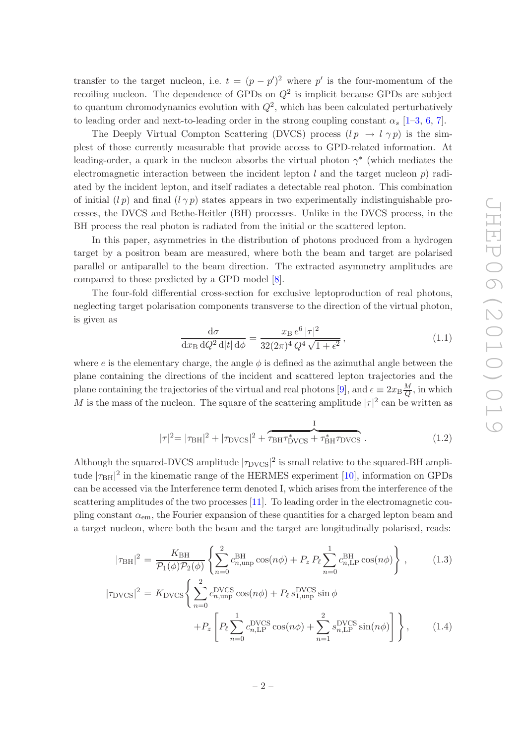transfer to the target nucleon, i.e.  $t = (p - p')^2$  where p' is the four-momentum of the recoiling nucleon. The dependence of GPDs on  $Q^2$  is implicit because GPDs are subject to quantum chromodynamics evolution with  $Q^2$ , which has been calculated perturbatively to leading order and next-to-leading order in the strong coupling constant  $\alpha_s$  [\[1](#page-16-0)[–3,](#page-16-1) [6](#page-17-0), [7](#page-17-1)].

The Deeply Virtual Compton Scattering (DVCS) process  $(l p \rightarrow l \gamma p)$  is the simplest of those currently measurable that provide access to GPD-related information. At leading-order, a quark in the nucleon absorbs the virtual photon  $\gamma^*$  (which mediates the electromagnetic interaction between the incident lepton  $l$  and the target nucleon  $p$ ) radiated by the incident lepton, and itself radiates a detectable real photon. This combination of initial  $(l p)$  and final  $(l \gamma p)$  states appears in two experimentally indistinguishable processes, the DVCS and Bethe-Heitler (BH) processes. Unlike in the DVCS process, in the BH process the real photon is radiated from the initial or the scattered lepton.

In this paper, asymmetries in the distribution of photons produced from a hydrogen target by a positron beam are measured, where both the beam and target are polarised parallel or antiparallel to the beam direction. The extracted asymmetry amplitudes are compared to those predicted by a GPD model [\[8\]](#page-17-2).

The four-fold differential cross-section for exclusive leptoproduction of real photons, neglecting target polarisation components transverse to the direction of the virtual photon, is given as

<span id="page-2-0"></span>
$$
\frac{d\sigma}{dx_{\rm B} dQ^2 d|t| d\phi} = \frac{x_{\rm B} e^6 |\tau|^2}{32(2\pi)^4 Q^4 \sqrt{1 + \epsilon^2}},\tag{1.1}
$$

where e is the elementary charge, the angle  $\phi$  is defined as the azimuthal angle between the plane containing the directions of the incident and scattered lepton trajectories and the plane containing the trajectories of the virtual and real photons [\[9](#page-17-3)], and  $\epsilon \equiv 2x_B \frac{M}{Q}$  $\frac{M}{Q}$ , in which M is the mass of the nucleon. The square of the scattering amplitude  $|\tau|^2$  can be written as

$$
|\tau|^2 = |\tau_{\rm BH}|^2 + |\tau_{\rm DVCS}|^2 + \underbrace{\tau_{\rm BH} \tau_{\rm DVCS}^* + \tau_{\rm BH}^* \tau_{\rm DVCS}^*}_{(1.2)}
$$

Although the squared-DVCS amplitude  $|\tau_{\text{DVCS}}|^2$  is small relative to the squared-BH amplitude  $|\tau_{\rm BH}|^2$  in the kinematic range of the HERMES experiment [\[10](#page-17-4)], information on GPDs can be accessed via the Interference term denoted I, which arises from the interference of the scattering amplitudes of the two processes [\[11](#page-17-5)]. To leading order in the electromagnetic coupling constant  $\alpha_{em}$ , the Fourier expansion of these quantities for a charged lepton beam and a target nucleon, where both the beam and the target are longitudinally polarised, reads:

<span id="page-2-1"></span>
$$
|\tau_{\rm BH}|^2 = \frac{K_{\rm BH}}{\mathcal{P}_1(\phi)\mathcal{P}_2(\phi)} \left\{ \sum_{n=0}^2 c_{n,\rm unp}^{\rm BH} \cos(n\phi) + P_z P_\ell \sum_{n=0}^1 c_{n,\rm LP}^{\rm BH} \cos(n\phi) \right\},\qquad(1.3)
$$

$$
|\tau_{\text{DVCS}}|^2 = K_{\text{DVCS}} \left\{ \sum_{n=0}^2 c_{n,\text{unp}}^{\text{DVCS}} \cos(n\phi) + P_\ell s_{1,\text{unp}}^{\text{DVCS}} \sin \phi + P_z \left[ P_\ell \sum_{n=0}^1 c_{n,\text{LP}}^{\text{DVCS}} \cos(n\phi) + \sum_{n=1}^2 s_{n,\text{LP}}^{\text{DVCS}} \sin(n\phi) \right] \right\}, \tag{1.4}
$$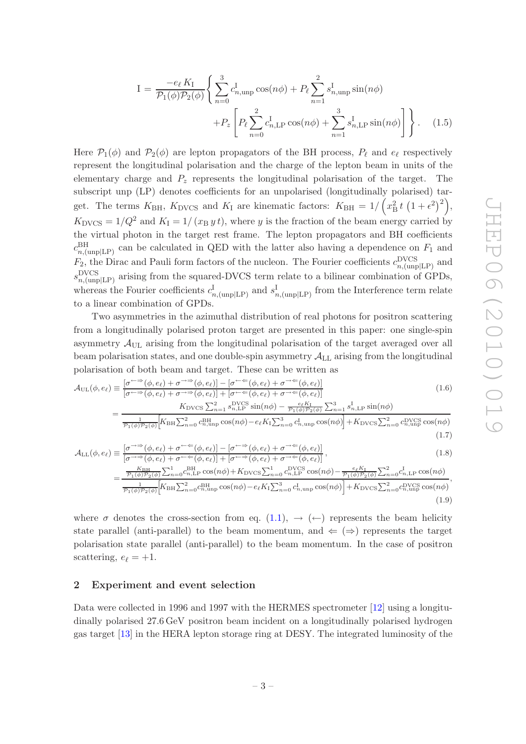<span id="page-3-4"></span><span id="page-3-3"></span><span id="page-3-2"></span><span id="page-3-1"></span>(1.9)

$$
I = \frac{-e_{\ell} K_{I}}{\mathcal{P}_{1}(\phi)\mathcal{P}_{2}(\phi)} \left\{ \sum_{n=0}^{3} c_{n,\text{unp}}^{I} \cos(n\phi) + P_{\ell} \sum_{n=1}^{2} s_{n,\text{unp}}^{I} \sin(n\phi) + P_{z} \left[ P_{\ell} \sum_{n=0}^{2} c_{n,\text{LP}}^{I} \cos(n\phi) + \sum_{n=1}^{3} s_{n,\text{LP}}^{I} \sin(n\phi) \right] \right\}.
$$
 (1.5)

Here  $\mathcal{P}_1(\phi)$  and  $\mathcal{P}_2(\phi)$  are lepton propagators of the BH process,  $P_\ell$  and  $e_\ell$  respectively represent the longitudinal polarisation and the charge of the lepton beam in units of the elementary charge and  $P_z$  represents the longitudinal polarisation of the target. The subscript unp (LP) denotes coefficients for an unpolarised (longitudinally polarised) target. The terms  $K_{\text{BH}}$ ,  $K_{\text{DVCS}}$  and  $K_{\text{I}}$  are kinematic factors:  $K_{\text{BH}} = 1/\left(x_{\text{B}}^2 t \left(1 + \epsilon^2\right)^2\right),$  $K_{\text{DVCS}} = 1/Q^2$  and  $K_{\text{I}} = 1/(x_{\text{B}} y t)$ , where y is the fraction of the beam energy carried by the virtual photon in the target rest frame. The lepton propagators and BH coefficients  $c_{n,(\text{unplLP})}^{\text{BH}}$  can be calculated in QED with the latter also having a dependence on  $F_1$  and  $F_2$ , the Dirac and Pauli form factors of the nucleon. The Fourier coefficients  $c_{n,(\text{unp}|LP)}^{\text{DVCS}}$  and  $s_{n,(\text{unp}|LP)}^{\text{DVCS}}$  arising from the squared-DVCS term relate to a bilinear combination of GPDs, whereas the Fourier coefficients  $c_{n,(\text{unp}|LP)}^{\text{I}}$  and  $s_{n,(\text{unp}|LP)}^{\text{I}}$  from the Interference term relate to a linear combination of GPDs.

Two asymmetries in the azimuthal distribution of real photons for positron scattering from a longitudinally polarised proton target are presented in this paper: one single-spin asymmetry  $\mathcal{A}_{\text{UL}}$  arising from the longitudinal polarisation of the target averaged over all beam polarisation states, and one double-spin asymmetry  $\mathcal{A}_{LL}$  arising from the longitudinal polarisation of both beam and target. These can be written as

$$
\mathcal{A}_{\text{UL}}(\phi, e_{\ell}) \equiv \frac{[\sigma^{\leftarrow \Rightarrow}(\phi, e_{\ell}) + \sigma^{\rightarrow \Rightarrow}(\phi, e_{\ell})] - [\sigma^{\leftarrow \Leftarrow}(\phi, e_{\ell}) + \sigma^{\rightarrow \Leftarrow}(\phi, e_{\ell})]}{[\sigma^{\leftarrow \Rightarrow}(\phi, e_{\ell}) + \sigma^{\rightarrow \Rightarrow}(\phi, e_{\ell})] + [\sigma^{\leftarrow \Leftarrow}(\phi, e_{\ell}) + \sigma^{\rightarrow \Leftarrow}(\phi, e_{\ell})]} \tag{1.6}
$$
\n
$$
= \frac{K_{\text{DVCS}} \sum_{n=1}^{2} s_{n,\text{LP}}^{\text{DVCS}} \sin(n\phi) - \frac{e_{\ell} K_{\ell}}{\sigma_{1}(\phi) P_{2}(\phi)} \sum_{n=1}^{3} s_{n,\text{LP}}^{\text{I}} \sin(n\phi)}{\frac{1}{P_{1}(\phi) P_{2}(\phi)} [K_{\text{BH}} \sum_{n=0}^{2} c_{n,\text{unp}}^{\text{BH}} \cos(n\phi) - e_{\ell} K_{\text{I}} \sum_{n=0}^{3} c_{n,\text{unp}}^{\text{I}} \cos(n\phi)] + K_{\text{DVCS}} \sum_{n=0}^{2} c_{n,\text{unp}}^{\text{DVCS}} \cos(n\phi)} \tag{1.7}
$$

$$
\mathcal{A}_{LL}(\phi, e_{\ell}) \equiv \frac{\left[\sigma^{\rightarrow\Rightarrow}(\phi, e_{\ell}) + \sigma^{\leftarrow\Leftarrow}(\phi, e_{\ell})\right] - \left[\sigma^{\leftarrow\Rightarrow}(\phi, e_{\ell}) + \sigma^{\rightarrow\Leftarrow}(\phi, e_{\ell})\right]}{\left[\sigma^{\rightarrow\Rightarrow}(\phi, e_{\ell}) + \sigma^{\leftarrow\Leftarrow}(\phi, e_{\ell})\right] + \left[\sigma^{\leftarrow\Rightarrow}(\phi, e_{\ell}) + \sigma^{\rightarrow\Leftarrow}(\phi, e_{\ell})\right]}\right]},
$$
\n
$$
= \frac{\frac{K_{\text{BH}}}{P_1(\phi)P_2(\phi)} \sum_{n=0}^{1} c_{n,\text{LP}}^{\text{BH}} \cos(n\phi) + K_{\text{DVCS}} \sum_{n=0}^{1} c_{n,\text{LP}}^{\text{DVCS}} \cos(n\phi) - \frac{e_{\ell}K_{\text{I}}}{P_1(\phi)P_2(\phi)} \sum_{n=0}^{2} c_{n,\text{LP}}^{\text{I}} \cos(n\phi)}{\frac{1}{P_1(\phi)P_2(\phi)} \left[K_{\text{BH}} \sum_{n=0}^{2} c_{n,\text{ump}}^{\text{BH}} \cos(n\phi) - e_{\ell}K_{\text{I}} \sum_{n=0}^{3} c_{n,\text{unp}}^{\text{I}} \cos(n\phi)\right] + K_{\text{DVCS}} \sum_{n=0}^{2} c_{n,\text{unp}}^{\text{DVCS}} \cos(n\phi)}.
$$
\n(1.8)

where  $\sigma$  denotes the cross-section from eq. [\(1.1\)](#page-2-0),  $\rightarrow$  ( $\leftarrow$ ) represents the beam helicity state parallel (anti-parallel) to the beam momentum, and  $\Leftarrow (\Rightarrow)$  represents the target polarisation state parallel (anti-parallel) to the beam momentum. In the case of positron scattering,  $e_{\ell} = +1$ .

#### <span id="page-3-0"></span>2 Experiment and event selection

Data were collected in 1996 and 1997 with the HERMES spectrometer [\[12](#page-17-6)] using a longitudinally polarised 27.6 GeV positron beam incident on a longitudinally polarised hydrogen gas target [\[13](#page-17-7)] in the HERA lepton storage ring at DESY. The integrated luminosity of the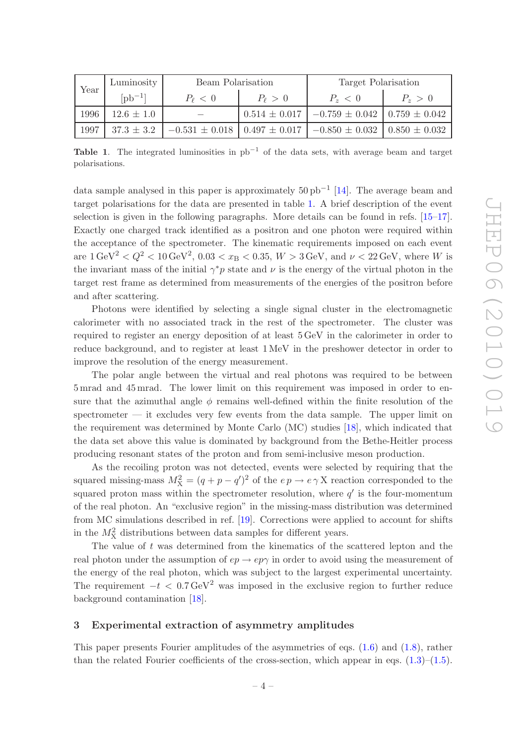| Year | Luminosity        | Beam Polarization                                                                                |                | Target Polarisation                                        |           |  |
|------|-------------------|--------------------------------------------------------------------------------------------------|----------------|------------------------------------------------------------|-----------|--|
|      | $[{\rm pb}^{-1}]$ | $P_{\ell} < 0$                                                                                   | $P_{\ell} > 0$ | $P_{z} < 0$                                                | $P_z > 0$ |  |
| 1996 | $12.6 \pm 1.0$    |                                                                                                  |                | $0.514 \pm 0.017$   $-0.759 \pm 0.042$   $0.759 \pm 0.042$ |           |  |
| 1997 |                   | $37.3 \pm 3.2$   $-0.531 \pm 0.018$   $0.497 \pm 0.017$   $-0.850 \pm 0.032$   $0.850 \pm 0.032$ |                |                                                            |           |  |

<span id="page-4-1"></span>Table 1. The integrated luminosities in  $pb^{-1}$  of the data sets, with average beam and target polarisations.

data sample analysed in this paper is approximately  $50 \text{ pb}^{-1}$  [\[14\]](#page-17-8). The average beam and target polarisations for the data are presented in table [1.](#page-4-1) A brief description of the event selection is given in the following paragraphs. More details can be found in refs. [\[15](#page-17-9)[–17\]](#page-17-10). Exactly one charged track identified as a positron and one photon were required within the acceptance of the spectrometer. The kinematic requirements imposed on each event are  $1 \text{ GeV}^2 < Q^2 < 10 \text{ GeV}^2$ ,  $0.03 < x_B < 0.35$ ,  $W > 3 \text{ GeV}$ , and  $\nu < 22 \text{ GeV}$ , where W is the invariant mass of the initial  $\gamma^* p$  state and  $\nu$  is the energy of the virtual photon in the target rest frame as determined from measurements of the energies of the positron before and after scattering.

Photons were identified by selecting a single signal cluster in the electromagnetic calorimeter with no associated track in the rest of the spectrometer. The cluster was required to register an energy deposition of at least 5 GeV in the calorimeter in order to reduce background, and to register at least 1 MeV in the preshower detector in order to improve the resolution of the energy measurement.

The polar angle between the virtual and real photons was required to be between 5 mrad and 45 mrad. The lower limit on this requirement was imposed in order to ensure that the azimuthal angle  $\phi$  remains well-defined within the finite resolution of the spectrometer — it excludes very few events from the data sample. The upper limit on the requirement was determined by Monte Carlo (MC) studies [\[18\]](#page-17-11), which indicated that the data set above this value is dominated by background from the Bethe-Heitler process producing resonant states of the proton and from semi-inclusive meson production.

As the recoiling proton was not detected, events were selected by requiring that the squared missing-mass  $M_X^2 = (q + p - q')^2$  of the  $e p \to e \gamma X$  reaction corresponded to the squared proton mass within the spectrometer resolution, where  $q'$  is the four-momentum of the real photon. An "exclusive region" in the missing-mass distribution was determined from MC simulations described in ref. [\[19\]](#page-17-12). Corrections were applied to account for shifts in the  $M_X^2$  distributions between data samples for different years.

The value of t was determined from the kinematics of the scattered lepton and the real photon under the assumption of  $ep \rightarrow ep\gamma$  in order to avoid using the measurement of the energy of the real photon, which was subject to the largest experimental uncertainty. The requirement  $-t < 0.7 \,\text{GeV}^2$  was imposed in the exclusive region to further reduce background contamination [\[18\]](#page-17-11).

# <span id="page-4-0"></span>3 Experimental extraction of asymmetry amplitudes

This paper presents Fourier amplitudes of the asymmetries of eqs.  $(1.6)$  and  $(1.8)$ , rather than the related Fourier coefficients of the cross-section, which appear in eqs.  $(1.3)$ – $(1.5)$ .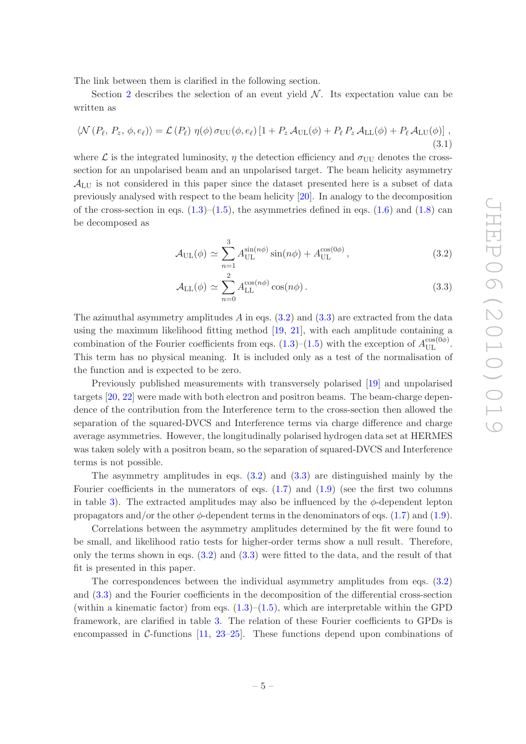The link between them is clarified in the following section.

Section [2](#page-3-0) describes the selection of an event yield  $\mathcal{N}$ . Its expectation value can be written as

$$
\langle \mathcal{N}(P_{\ell}, P_z, \phi, e_{\ell}) \rangle = \mathcal{L}(P_{\ell}) \eta(\phi) \sigma_{UU}(\phi, e_{\ell}) \left[ 1 + P_z \mathcal{A}_{UL}(\phi) + P_{\ell} P_z \mathcal{A}_{LL}(\phi) + P_{\ell} \mathcal{A}_{LU}(\phi) \right],
$$
\n(3.1)

where  $\mathcal L$  is the integrated luminosity,  $\eta$  the detection efficiency and  $\sigma_{UU}$  denotes the crosssection for an unpolarised beam and an unpolarised target. The beam helicity asymmetry  $\mathcal{A}_{LU}$  is not considered in this paper since the dataset presented here is a subset of data previously analysed with respect to the beam helicity [\[20](#page-17-13)]. In analogy to the decomposition of the cross-section in eqs.  $(1.3)$ – $(1.5)$ , the asymmetries defined in eqs.  $(1.6)$  and  $(1.8)$  can be decomposed as

<span id="page-5-0"></span>
$$
\mathcal{A}_{\text{UL}}(\phi) \simeq \sum_{n=1}^{3} A_{\text{UL}}^{\sin(n\phi)} \sin(n\phi) + A_{\text{UL}}^{\cos(0\phi)}, \qquad (3.2)
$$

$$
\mathcal{A}_{\text{LL}}(\phi) \simeq \sum_{n=0}^{2} A_{\text{LL}}^{\cos(n\phi)} \cos(n\phi). \tag{3.3}
$$

The azimuthal asymmetry amplitudes  $A$  in eqs.  $(3.2)$  and  $(3.3)$  are extracted from the data using the maximum likelihood fitting method [\[19](#page-17-12), [21](#page-17-14)], with each amplitude containing a combination of the Fourier coefficients from eqs.  $(1.3)$ – $(1.5)$  with the exception of  $A_{\text{UL}}^{\cos(0\phi)}$ . This term has no physical meaning. It is included only as a test of the normalisation of the function and is expected to be zero.

Previously published measurements with transversely polarised [\[19](#page-17-12)] and unpolarised targets [\[20,](#page-17-13) [22](#page-17-15)] were made with both electron and positron beams. The beam-charge dependence of the contribution from the Interference term to the cross-section then allowed the separation of the squared-DVCS and Interference terms via charge difference and charge average asymmetries. However, the longitudinally polarised hydrogen data set at HERMES was taken solely with a positron beam, so the separation of squared-DVCS and Interference terms is not possible.

The asymmetry amplitudes in eqs. [\(3.2\)](#page-5-0) and [\(3.3\)](#page-5-0) are distinguished mainly by the Fourier coefficients in the numerators of eqs.  $(1.7)$  and  $(1.9)$  (see the first two columns in table [3\)](#page-6-0). The extracted amplitudes may also be influenced by the  $\phi$ -dependent lepton propagators and/or the other  $\phi$ -dependent terms in the denominators of eqs. [\(1.7\)](#page-3-3) and [\(1.9\)](#page-3-4).

Correlations between the asymmetry amplitudes determined by the fit were found to be small, and likelihood ratio tests for higher-order terms show a null result. Therefore, only the terms shown in eqs.  $(3.2)$  and  $(3.3)$  were fitted to the data, and the result of that fit is presented in this paper.

The correspondences between the individual asymmetry amplitudes from eqs. [\(3.2\)](#page-5-0) and [\(3.3\)](#page-5-0) and the Fourier coefficients in the decomposition of the differential cross-section (within a kinematic factor) from eqs.  $(1.3)$ – $(1.5)$ , which are interpretable within the GPD framework, are clarified in table [3.](#page-6-0) The relation of these Fourier coefficients to GPDs is encompassed in C-functions  $[11, 23-25]$  $[11, 23-25]$  $[11, 23-25]$ . These functions depend upon combinations of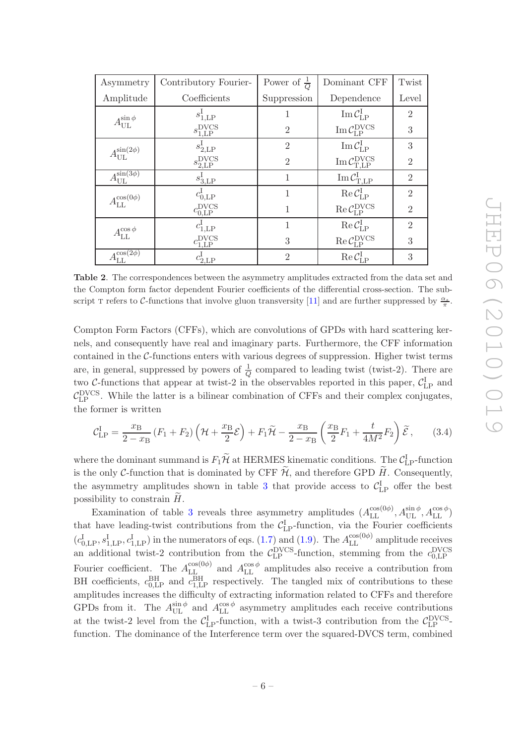| $\mathop{\rm ind}\nolimits$<br>ub- |  |
|------------------------------------|--|
| $\frac{\alpha_s}{\pi}$ .           |  |
|                                    |  |
| er-                                |  |
| ion                                |  |
| $\overline{\text{ms}}$             |  |
| are                                |  |
| $\mathop{\rm nd}\nolimits$<br>es,  |  |
|                                    |  |
|                                    |  |
| $\Lambda$                          |  |

| Asymmetry                                            | Contributory Fourier-           | Power of $\frac{1}{Q}$ | Dominant CFF                                                                                                                                         | Twist          |
|------------------------------------------------------|---------------------------------|------------------------|------------------------------------------------------------------------------------------------------------------------------------------------------|----------------|
| Amplitude                                            | Coefficients                    | Suppression            | Dependence                                                                                                                                           | Level          |
| $A_{\text{UL}}^{\sin\phi}$                           | $s^1_{1,\mathrm{LP}}$           |                        | $\operatorname{Im} \mathcal{C}_{\text{LP}}^{\text{I}}$                                                                                               | $\overline{2}$ |
|                                                      | $s_{1,\text{LP}}^{\text{DVCS}}$ | $\overline{2}$         | $\operatorname{Im} \mathcal{C}_{\text{LP}}^{\text{DVCS}}$                                                                                            | 3              |
| $A_{\text{UL}}^{\sin(2\phi)}$                        | $s_{2,\text{LP}}^1$             | $\overline{2}$         | $\operatorname{Im}\mathcal{C}_{\operatorname{LP}}^{\operatorname{I}}$                                                                                | 3              |
|                                                      | $s_{2,\text{LP}}^{\text{DVCS}}$ | $\overline{2}$         | $\mathrm{Im}\, \mathcal{C}_{\mathrm{T, LP}}^{\mathrm{DVCS}}$                                                                                         | $\overline{2}$ |
| $A_{\underline{\text{UL}}}^{\overline{\sin(3\phi)}}$ | $s_{3,\text{LP}}^1$             | 1                      | $\operatorname{Im}\mathcal{C}_{\mathrm{T},\mathrm{LP}}^{\mathrm{I}}$                                                                                 | $\overline{2}$ |
| $A_{\text{LL}}^{\cos(0\phi)}$                        | $c_{0,\rm LP}^{\rm I}$          | 1                      | $\begin{aligned} \operatorname{Re}\mathcal{C}_{\mathrm{LP}}^{\mathrm{I}}\\ \operatorname{Re}\mathcal{C}_{\mathrm{LP}}^{\mathrm{DVCS}} \end{aligned}$ | $\overline{2}$ |
|                                                      | $c_{0,\text{LP}}^{\text{DVCS}}$ |                        |                                                                                                                                                      | $\overline{2}$ |
| $A_{\text{LL}}^{\cos\phi}$                           | $c^{\rm I}_{1,{\rm LP}}$        | 1                      | $\begin{aligned} \operatorname{Re}\mathcal{C}_{\mathrm{LP}}^{\mathrm{I}}\\ \operatorname{Re}\mathcal{C}_{\mathrm{LP}}^{\mathrm{DVCS}} \end{aligned}$ | $\overline{2}$ |
|                                                      | $c_{1,\text{LP}}^{\text{DVCS}}$ | 3                      |                                                                                                                                                      | 3              |
| $A_{\underline{\text{LL}}}^{\overline{\cos(2\phi)}}$ | $c^{\rm I}_{2,\rm LP}$          | $\overline{2}$         | $\operatorname{Re}\mathcal{C}_{\operatorname{LP}}^{\operatorname{I}}$                                                                                | 3              |

Table 2. The correspondences between the asymmetry amplitudes extracted from the data set and the Compton form factor dependent Fourier coefficients of the differential cross-section. The s script T refers to C-functions that involve gluon transversity  $[11]$  and are further suppressed by

Compton Form Factors (CFFs), which are convolutions of GPDs with hard scattering k nels, and consequently have real and imaginary parts. Furthermore, the CFF informat contained in the  $C$ -functions enters with various degrees of suppression. Higher twist term are, in general, suppressed by powers of  $\frac{1}{Q}$  compared to leading twist (twist-2). There are two C-functions that appear at twist-2 in the observables reported in this paper,  $C_{\text{LP}}^{\text{I}}$  and  $C_{\text{LP}}^{\text{DVCS}}$ . While the latter is a bilinear combination of CFFs and their complex conjugates, the former is written

<span id="page-6-0"></span>
$$
\mathcal{C}_{\text{LP}}^{\text{I}} = \frac{x_{\text{B}}}{2 - x_{\text{B}}} \left( F_1 + F_2 \right) \left( \mathcal{H} + \frac{x_{\text{B}}}{2} \mathcal{E} \right) + F_1 \widetilde{\mathcal{H}} - \frac{x_{\text{B}}}{2 - x_{\text{B}}} \left( \frac{x_{\text{B}}}{2} F_1 + \frac{t}{4M^2} F_2 \right) \widetilde{\mathcal{E}}, \tag{3.4}
$$

where the dominant summand is  $F_1\widetilde{\mathcal{H}}$  at HERMES kinematic conditions. The  $\mathcal{C}_{\text{LP}}^{\text{I}}$ -function is the only C-function that is dominated by CFF  $\widetilde{\mathcal{H}}$ , and therefore GPD  $\widetilde{H}$ . Consequently, the asymmetry amplitudes shown in table [3](#page-6-0) that provide access to  $\mathcal{C}_{LP}^{\text{I}}$  offer the best possibility to constrain  $H$ .

Examination of table [3](#page-6-0) reveals three asymmetry amplitudes  $(A_{\text{LL}}^{\cos(0\phi)}, A_{\text{UL}}^{\sin\phi}, A_{\text{LL}}^{\cos\phi})$ that have leading-twist contributions from the  $\mathcal{C}_{\text{LP}}^{\text{I}}$ -function, via the Fourier coefficients  $(c_{0,\text{LP}}^I, s_{1,\text{LP}}^I, c_{1,\text{LP}}^I)$  in the numerators of eqs. [\(1.7\)](#page-3-3) and [\(1.9\)](#page-3-4). The  $A_{LL}^{\cos(0\phi)}$  amplitude receives an additional twist-2 contribution from the  $C_{\text{LP}}^{\text{DVCS}}$ -function, stemming from the  $c_{0,\text{LP}}^{\text{DVCS}}$ Fourier coefficient. The  $A_{\text{LL}}^{\cos(0\phi)}$  and  $A_{\text{LL}}^{\cos\phi}$  amplitudes also receive a contribution from BH coefficients,  $c_{0,\text{LP}}^{\text{BH}}$  and  $c_{1,\text{LP}}^{\text{BH}}$  respectively. The tangled mix of contributions to these amplitudes increases the difficulty of extracting information related to CFFs and therefore GPDs from it. The  $A_{\text{UL}}^{\sin \phi}$  and  $A_{\text{LL}}^{\cos \phi}$  asymmetry amplitudes each receive contributions at the twist-2 level from the  $C_{\text{LP}}^{\text{I}}$ -function, with a twist-3 contribution from the  $C_{\text{LP}}^{\text{DVCS}}$ function. The dominance of the Interference term over the squared-DVCS term, combined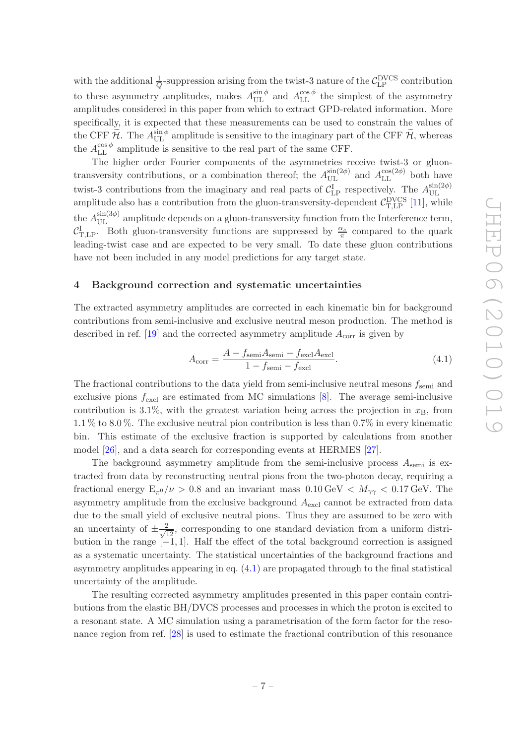with the additional  $\frac{1}{Q}$ -suppression arising from the twist-3 nature of the  $\mathcal{C}_{\text{LP}}^{\text{DVCS}}$  contribution to these asymmetry amplitudes, makes  $A_{\text{UL}}^{\sin \phi}$  and  $A_{\text{LL}}^{\cos \phi}$  the simplest of the asymmetry amplitudes considered in this paper from which to extract GPD-related information. More specifically, it is expected that these measurements can be used to constrain the values of the CFF  $\widetilde{\mathcal{H}}$ . The  $A_{\text{UL}}^{\sin \phi}$  amplitude is sensitive to the imaginary part of the CFF  $\widetilde{\mathcal{H}}$ , whereas the  $A_{\text{LL}}^{\cos \phi}$  amplitude is sensitive to the real part of the same CFF.

The higher order Fourier components of the asymmetries receive twist-3 or gluontransversity contributions, or a combination thereof; the  $A_{\text{UL}}^{\sin(2\phi)}$  and  $A_{\text{LL}}^{\cos(2\phi)}$  both have twist-3 contributions from the imaginary and real parts of  $C_{\text{LP}}^{\text{I}}$  respectively. The  $A_{\text{UL}}^{\sin(2\phi)}$ UL amplitude also has a contribution from the gluon-transversity-dependent  $\mathcal{C}_{T, \mathrm{LP}}^{\mathrm{DVCS}}$  [\[11\]](#page-17-5), while the  $A_{\text{UL}}^{\sin(3\phi)}$  amplitude depends on a gluon-transversity function from the Interference term,  $\mathcal{C}_{\text{T,LP}}^{\text{I}}$ . Both gluon-transversity functions are suppressed by  $\frac{\alpha_s}{\pi}$  compared to the quark leading-twist case and are expected to be very small. To date these gluon contributions have not been included in any model predictions for any target state.

#### <span id="page-7-0"></span>4 Background correction and systematic uncertainties

The extracted asymmetry amplitudes are corrected in each kinematic bin for background contributions from semi-inclusive and exclusive neutral meson production. The method is described in ref. [\[19](#page-17-12)] and the corrected asymmetry amplitude  $A_{\text{corr}}$  is given by

<span id="page-7-1"></span>
$$
A_{\text{corr}} = \frac{A - f_{\text{semi}} A_{\text{semi}} - f_{\text{excl}} A_{\text{excl}}}{1 - f_{\text{semi}} - f_{\text{excl}}}. \tag{4.1}
$$

The fractional contributions to the data yield from semi-inclusive neutral mesons  $f_{\rm semi}$  and exclusive pions  $f_{\text{excl}}$  are estimated from MC simulations  $[8]$ . The average semi-inclusive contribution is 3.1%, with the greatest variation being across the projection in  $x_B$ , from 1.1 % to 8.0 %. The exclusive neutral pion contribution is less than 0.7% in every kinematic bin. This estimate of the exclusive fraction is supported by calculations from another model [\[26\]](#page-18-1), and a data search for corresponding events at HERMES [\[27\]](#page-18-2).

The background asymmetry amplitude from the semi-inclusive process  $A_{\rm semi}$  is extracted from data by reconstructing neutral pions from the two-photon decay, requiring a fractional energy  $E_{\pi^0}/\nu > 0.8$  and an invariant mass  $0.10 \,\text{GeV} < M_{\gamma\gamma} < 0.17 \,\text{GeV}$ . The asymmetry amplitude from the exclusive background  $A_{\text{excl}}$  cannot be extracted from data due to the small yield of exclusive neutral pions. Thus they are assumed to be zero with an uncertainty of  $\pm \frac{2}{\sqrt{12}}$ , corresponding to one standard deviation from a uniform distribution in the range [−1, 1]. Half the effect of the total background correction is assigned as a systematic uncertainty. The statistical uncertainties of the background fractions and asymmetry amplitudes appearing in eq. [\(4.1\)](#page-7-1) are propagated through to the final statistical uncertainty of the amplitude.

The resulting corrected asymmetry amplitudes presented in this paper contain contributions from the elastic BH/DVCS processes and processes in which the proton is excited to a resonant state. A MC simulation using a parametrisation of the form factor for the resonance region from ref. [\[28\]](#page-18-3) is used to estimate the fractional contribution of this resonance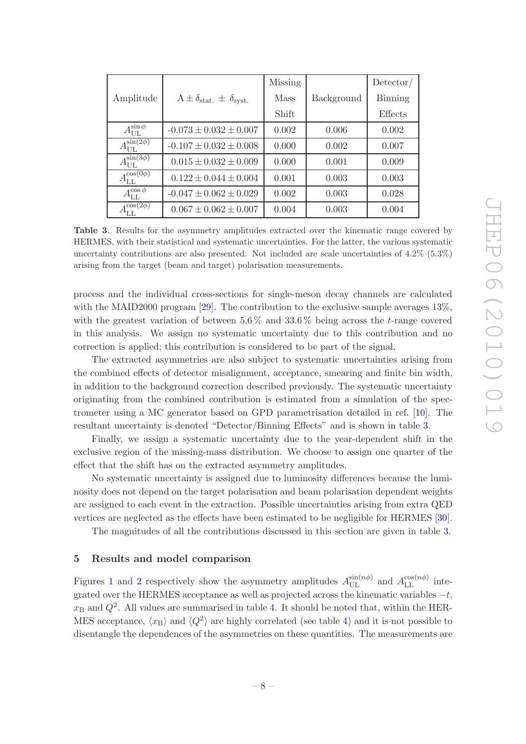|                                 |                                           | <b>Missing</b> |            | $\text{Detector}/$ |
|---------------------------------|-------------------------------------------|----------------|------------|--------------------|
| Amplitude                       | $A \pm \delta_{stat.} \pm \delta_{syst.}$ | <b>Mass</b>    | Background | <b>Binning</b>     |
|                                 |                                           | Shift          |            | Effects            |
| $A_{\text{UL}}^{\sin\phi}$      | $-0.073 \pm 0.032 \pm 0.007$              | 0.002          | 0.006      | 0.002              |
| $A_{\text{UL}}^{\sin(2\phi)}$   | $-0.107 \pm 0.032 \pm 0.008$              | 0.000          | 0.002      | 0.007              |
| $A_{\text{UL}}^{\sin(3\phi)}$   | $0.015 \pm 0.032 \pm 0.009$               | 0.000          | 0.001      | 0.009              |
| $A_{\textrm{LL}}^{\cos(0\phi)}$ | $0.122 \pm 0.044 \pm 0.004$               | 0.001          | 0.003      | 0.003              |
| $A_{\textrm{LL}}^{\cos\phi}$    | $-0.047 \pm 0.062 \pm 0.029$              | 0.002          | 0.003      | 0.028              |
| $A_{\text{LL}}^{\cos(2\phi)}$   | $0.067 \pm 0.062 \pm 0.007$               | 0.004          | 0.003      | 0.004              |

<span id="page-8-1"></span>Table 3. Results for the asymmetry amplitudes extracted over the kinematic range covered by HERMES, with their statistical and systematic uncertainties. For the latter, the various systematic uncertainty contributions are also presented. Not included are scale uncertainties of 4.2% (5.3%) arising from the target (beam and target) polarisation measurements.

process and the individual cross-sections for single-meson decay channels are calculated with the MAID2000 program [\[29\]](#page-18-4). The contribution to the exclusive sample averages  $13\%$ . with the greatest variation of between  $5.6\%$  and  $33.6\%$  being across the t-range covered in this analysis. We assign no systematic uncertainty due to this contribution and no correction is applied; this contribution is considered to be part of the signal.

The extracted asymmetries are also subject to systematic uncertainties arising from the combined effects of detector misalignment, acceptance, smearing and finite bin width, in addition to the background correction described previously. The systematic uncertainty originating from the combined contribution is estimated from a simulation of the spectrometer using a MC generator based on GPD parametrisation detailed in ref. [\[10\]](#page-17-4). The resultant uncertainty is denoted "Detector/Binning Effects" and is shown in table [3.](#page-8-1)

Finally, we assign a systematic uncertainty due to the year-dependent shift in the exclusive region of the missing-mass distribution. We choose to assign one quarter of the effect that the shift has on the extracted asymmetry amplitudes.

No systematic uncertainty is assigned due to luminosity differences because the luminosity does not depend on the target polarisation and beam polarisation dependent weights are assigned to each event in the extraction. Possible uncertainties arising from extra QED vertices are neglected as the effects have been estimated to be negligible for HERMES [\[30\]](#page-18-5).

The magnitudes of all the contributions discussed in this section are given in table [3.](#page-8-1)

## <span id="page-8-0"></span>5 Results and model comparison

Figures [1](#page-9-0) and [2](#page-10-0) respectively show the asymmetry amplitudes  $A_{\text{UL}}^{\sin(n\phi)}$  and  $A_{\text{LL}}^{\cos(n\phi)}$  integrated over the HERMES acceptance as well as projected across the kinematic variables  $-t$ ,  $x_{\text{B}}$  and  $Q^2$ . All values are summarised in table [4.](#page-13-0) It should be noted that, within the HER-MES acceptance,  $\langle x_B \rangle$  and  $\langle Q^2 \rangle$  are highly correlated (see table [4\)](#page-13-0) and it is not possible to disentangle the dependences of the asymmetries on these quantities. The measurements are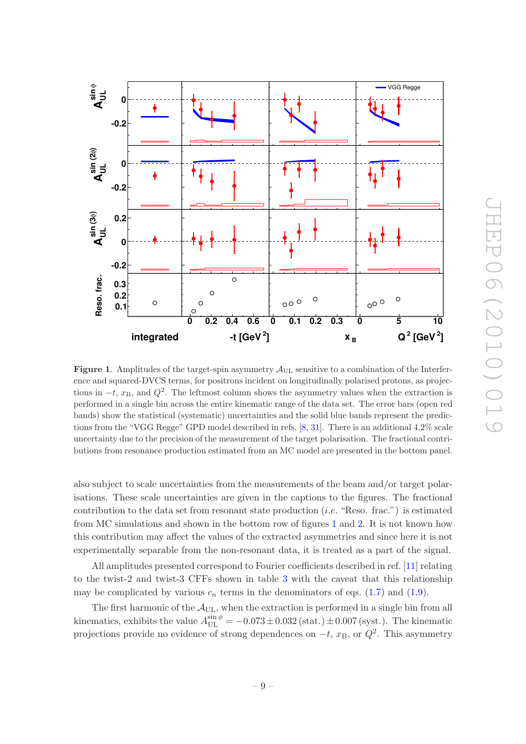

<span id="page-9-0"></span>**Figure 1.** Amplitudes of the target-spin asymmetry  $\mathcal{A}_{\text{UL}}$  sensitive to a combination of the Interference and squared-DVCS terms, for positrons incident on longitudinally polarised protons, as projections in  $-t$ ,  $x_B$ , and  $Q^2$ . The leftmost column shows the asymmetry values when the extraction is performed in a single bin across the entire kinematic range of the data set. The error bars (open red bands) show the statistical (systematic) uncertainties and the solid blue bands represent the predictions from the "VGG Regge" GPD model described in refs. [\[8](#page-17-2), [31\]](#page-18-6). There is an additional 4.2% scale uncertainty due to the precision of the measurement of the target polarisation. The fractional contributions from resonance production estimated from an MC model are presented in the bottom panel.

also subject to scale uncertainties from the measurements of the beam and/or target polarisations. These scale uncertainties are given in the captions to the figures. The fractional contribution to the data set from resonant state production  $(i.e.$  "Reso. frac.") is estimated from MC simulations and shown in the bottom row of figures [1](#page-9-0) and [2.](#page-10-0) It is not known how this contribution may affect the values of the extracted asymmetries and since here it is not experimentally separable from the non-resonant data, it is treated as a part of the signal.

All amplitudes presented correspond to Fourier coefficients described in ref. [\[11](#page-17-5)] relating to the twist-2 and twist-3 CFFs shown in table [3](#page-6-0) with the caveat that this relationship may be complicated by various  $c_n$  terms in the denominators of eqs. [\(1.7\)](#page-3-3) and [\(1.9\)](#page-3-4).

The first harmonic of the  $A_{\text{UL}}$ , when the extraction is performed in a single bin from all kinematics, exhibits the value  $A_{\text{UL}}^{\sin \phi} = -0.073 \pm 0.032 \text{ (stat.)} \pm 0.007 \text{ (syst.)}$ . The kinematic projections provide no evidence of strong dependences on  $-t$ ,  $x_{\text{B}}$ , or  $Q^2$ . This asymmetry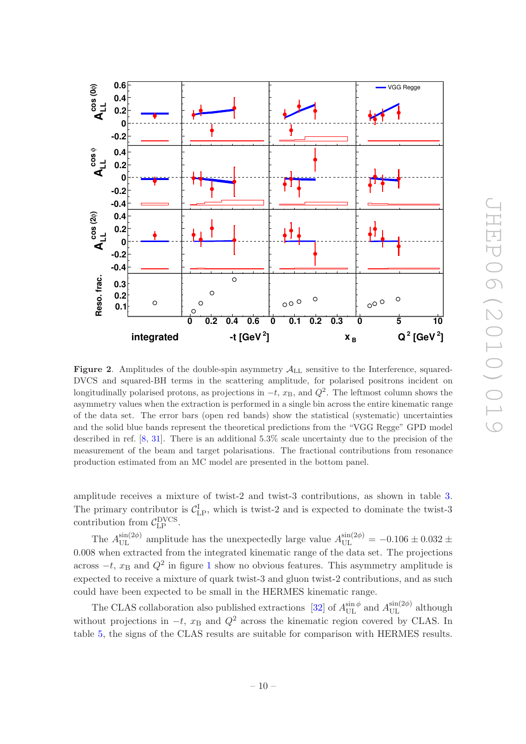

<span id="page-10-0"></span>**Figure 2.** Amplitudes of the double-spin asymmetry  $A_{LL}$  sensitive to the Interference, squared-DVCS and squared-BH terms in the scattering amplitude, for polarised positrons incident on longitudinally polarised protons, as projections in  $-t$ ,  $x_B$ , and  $Q^2$ . The leftmost column shows the asymmetry values when the extraction is performed in a single bin across the entire kinematic range of the data set. The error bars (open red bands) show the statistical (systematic) uncertainties and the solid blue bands represent the theoretical predictions from the "VGG Regge" GPD model described in ref. [\[8](#page-17-2), [31\]](#page-18-6). There is an additional 5.3% scale uncertainty due to the precision of the measurement of the beam and target polarisations. The fractional contributions from resonance production estimated from an MC model are presented in the bottom panel.

amplitude receives a mixture of twist-2 and twist-3 contributions, as shown in table [3.](#page-6-0) The primary contributor is  $C_{\text{LP}}^{\text{I}}$ , which is twist-2 and is expected to dominate the twist-3 contribution from  $C_{\text{LP}}^{\text{DVCS}}$ .

The  $A_{\text{UL}}^{\sin(2\phi)}$  amplitude has the unexpectedly large value  $A_{\text{UL}}^{\sin(2\phi)} = -0.106 \pm 0.032 \pm 0.032$ 0.008 when extracted from the integrated kinematic range of the data set. The projections across  $-t$ ,  $x_B$  and  $Q^2$  in figure [1](#page-9-0) show no obvious features. This asymmetry amplitude is expected to receive a mixture of quark twist-3 and gluon twist-2 contributions, and as such could have been expected to be small in the HERMES kinematic range.

The CLAS collaboration also published extractions [\[32](#page-18-7)] of  $A_{\text{UL}}^{\sin \phi}$  and  $A_{\text{UL}}^{\sin (2\phi)}$  although without projections in  $-t$ ,  $x_B$  and  $Q^2$  across the kinematic region covered by CLAS. In table [5,](#page-13-1) the signs of the CLAS results are suitable for comparison with HERMES results.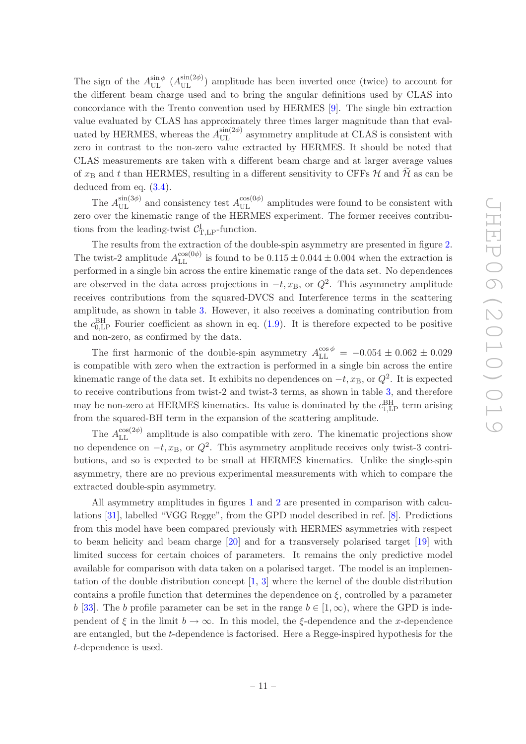The sign of the  $A_{\text{UL}}^{\sin\phi}$  ( $A_{\text{UL}}^{\sin(2\phi)}$ ) amplitude has been inverted once (twice) to account for the different beam charge used and to bring the angular definitions used by CLAS into concordance with the Trento convention used by HERMES [\[9\]](#page-17-3). The single bin extraction value evaluated by CLAS has approximately three times larger magnitude than that evaluated by HERMES, whereas the  $A_{\text{UL}}^{\sin(2\phi)}$  asymmetry amplitude at CLAS is consistent with zero in contrast to the non-zero value extracted by HERMES. It should be noted that CLAS measurements are taken with a different beam charge and at larger average values of  $x_B$  and t than HERMES, resulting in a different sensitivity to CFFs H and H as can be deduced from eq. [\(3.4\)](#page-6-0).

The  $A_{\text{UL}}^{\sin(3\phi)}$  and consistency test  $A_{\text{UL}}^{\cos(0\phi)}$  amplitudes were found to be consistent with zero over the kinematic range of the HERMES experiment. The former receives contributions from the leading-twist  $C_{\text{T,LP}}^{\text{I}}$ -function.

The results from the extraction of the double-spin asymmetry are presented in figure [2.](#page-10-0) The twist-2 amplitude  $A_{\text{LL}}^{\cos(0\phi)}$  is found to be  $0.115 \pm 0.044 \pm 0.004$  when the extraction is performed in a single bin across the entire kinematic range of the data set. No dependences are observed in the data across projections in  $-t$ ,  $x_{\text{B}}$ , or  $Q^2$ . This asymmetry amplitude receives contributions from the squared-DVCS and Interference terms in the scattering amplitude, as shown in table [3.](#page-6-0) However, it also receives a dominating contribution from the  $c_{0,\text{LP}}^{\text{BH}}$  Fourier coefficient as shown in eq. [\(1.9\)](#page-3-4). It is therefore expected to be positive and non-zero, as confirmed by the data.

The first harmonic of the double-spin asymmetry  $A_{\text{LL}}^{\cos\phi} = -0.054 \pm 0.062 \pm 0.029$ is compatible with zero when the extraction is performed in a single bin across the entire kinematic range of the data set. It exhibits no dependences on  $-t$ ,  $x_{\text{B}}$ , or  $Q^2$ . It is expected to receive contributions from twist-2 and twist-3 terms, as shown in table [3,](#page-6-0) and therefore may be non-zero at HERMES kinematics. Its value is dominated by the  $c_{1, \text{LP}}^{\text{BH}}$  term arising from the squared-BH term in the expansion of the scattering amplitude.

The  $A_{\text{LL}}^{\cos(2\phi)}$  amplitude is also compatible with zero. The kinematic projections show no dependence on  $-t$ ,  $x_{\text{B}}$ , or  $Q^2$ . This asymmetry amplitude receives only twist-3 contributions, and so is expected to be small at HERMES kinematics. Unlike the single-spin asymmetry, there are no previous experimental measurements with which to compare the extracted double-spin asymmetry.

All asymmetry amplitudes in figures [1](#page-9-0) and [2](#page-10-0) are presented in comparison with calculations [\[31](#page-18-6)], labelled "VGG Regge", from the GPD model described in ref. [\[8](#page-17-2)]. Predictions from this model have been compared previously with HERMES asymmetries with respect to beam helicity and beam charge [\[20](#page-17-13)] and for a transversely polarised target [\[19](#page-17-12)] with limited success for certain choices of parameters. It remains the only predictive model available for comparison with data taken on a polarised target. The model is an implementation of the double distribution concept [\[1](#page-16-0), [3](#page-16-1)] where the kernel of the double distribution contains a profile function that determines the dependence on  $\xi$ , controlled by a parameter b [\[33](#page-18-8)]. The b profile parameter can be set in the range  $b \in [1,\infty)$ , where the GPD is independent of  $\xi$  in the limit  $b \to \infty$ . In this model, the  $\xi$ -dependence and the x-dependence are entangled, but the t-dependence is factorised. Here a Regge-inspired hypothesis for the t-dependence is used.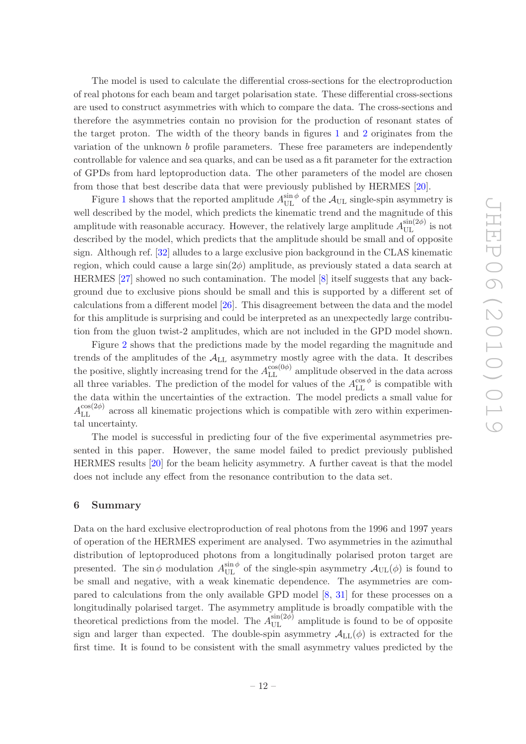The model is used to calculate the differential cross-sections for the electroproduction of real photons for each beam and target polarisation state. These differential cross-sections are used to construct asymmetries with which to compare the data. The cross-sections and therefore the asymmetries contain no provision for the production of resonant states of the target proton. The width of the theory bands in figures [1](#page-9-0) and [2](#page-10-0) originates from the variation of the unknown b profile parameters. These free parameters are independently controllable for valence and sea quarks, and can be used as a fit parameter for the extraction of GPDs from hard leptoproduction data. The other parameters of the model are chosen from those that best describe data that were previously published by HERMES [\[20\]](#page-17-13).

Figure [1](#page-9-0) shows that the reported amplitude  $A_{\text{UL}}^{\sin\phi}$  of the  $A_{\text{UL}}$  single-spin asymmetry is well described by the model, which predicts the kinematic trend and the magnitude of this amplitude with reasonable accuracy. However, the relatively large amplitude  $A_{\text{UL}}^{\sin(2\phi)}$  is not described by the model, which predicts that the amplitude should be small and of opposite sign. Although ref. [\[32](#page-18-7)] alludes to a large exclusive pion background in the CLAS kinematic region, which could cause a large  $\sin(2\phi)$  amplitude, as previously stated a data search at HERMES [\[27](#page-18-2)] showed no such contamination. The model [\[8\]](#page-17-2) itself suggests that any background due to exclusive pions should be small and this is supported by a different set of calculations from a different model [\[26](#page-18-1)]. This disagreement between the data and the model for this amplitude is surprising and could be interpreted as an unexpectedly large contribution from the gluon twist-2 amplitudes, which are not included in the GPD model shown.

Figure [2](#page-10-0) shows that the predictions made by the model regarding the magnitude and trends of the amplitudes of the  $A_{LL}$  asymmetry mostly agree with the data. It describes the positive, slightly increasing trend for the  $A_{\text{LL}}^{\cos(0\phi)}$  amplitude observed in the data across all three variables. The prediction of the model for values of the  $A_{LL}^{\cos\phi}$  is compatible with the data within the uncertainties of the extraction. The model predicts a small value for  $A_{\text{LL}}^{\cos(2\phi)}$  across all kinematic projections which is compatible with zero within experimental uncertainty.

The model is successful in predicting four of the five experimental asymmetries presented in this paper. However, the same model failed to predict previously published HERMES results [\[20](#page-17-13)] for the beam helicity asymmetry. A further caveat is that the model does not include any effect from the resonance contribution to the data set.

#### <span id="page-12-0"></span>6 Summary

Data on the hard exclusive electroproduction of real photons from the 1996 and 1997 years of operation of the HERMES experiment are analysed. Two asymmetries in the azimuthal distribution of leptoproduced photons from a longitudinally polarised proton target are presented. The sin  $\phi$  modulation  $A_{\text{UL}}^{\sin \phi}$  of the single-spin asymmetry  $\mathcal{A}_{\text{UL}}(\phi)$  is found to be small and negative, with a weak kinematic dependence. The asymmetries are compared to calculations from the only available GPD model [\[8](#page-17-2), [31\]](#page-18-6) for these processes on a longitudinally polarised target. The asymmetry amplitude is broadly compatible with the theoretical predictions from the model. The  $A_{\text{UL}}^{\sin(2\phi)}$  amplitude is found to be of opposite sign and larger than expected. The double-spin asymmetry  $\mathcal{A}_{LL}(\phi)$  is extracted for the first time. It is found to be consistent with the small asymmetry values predicted by the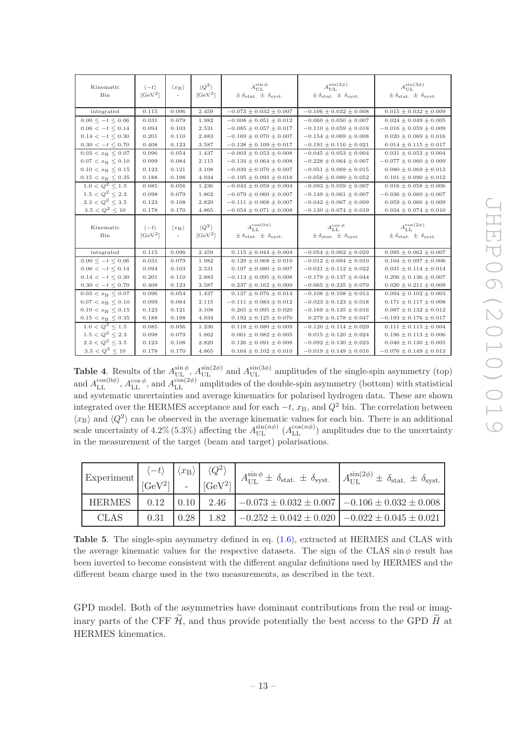| $\overline{\phantom{a}}$                             |
|------------------------------------------------------|
| l                                                    |
| Ę                                                    |
| ī                                                    |
| ŋ                                                    |
| $\overline{\phantom{0}}$<br>$\overline{\mathcal{O}}$ |
|                                                      |
|                                                      |
| Ξ                                                    |
| $\sim$                                               |
| $\overline{\phantom{0}}$<br>l                        |
|                                                      |
|                                                      |
|                                                      |
| $\overline{\phantom{0}}$                             |
| $\overline{C}$<br>$\overline{\phantom{a}}$           |

| Kinematic<br>Bin             | $\langle -t \rangle$<br>$[GeV^2]$ | $\langle x_{\rm B} \rangle$<br>$\sim$ | $\langle Q^2 \rangle$<br>$[GeV^2]$ | $A_{\text{UL}}^{\sin\phi}$<br>$\pm \delta_{\text{stat.}} \pm \delta_{\text{syst.}}$      | $A_{\text{UL}}^{\sin(2\phi)}$<br>$\pm \delta_{\text{stat.}} \pm \delta_{\text{syst.}}$ | $A_{\text{UL}}^{\sin(3\phi)}$<br>$\pm \delta_{\text{stat.}} \pm \delta_{\text{syst.}}$   |
|------------------------------|-----------------------------------|---------------------------------------|------------------------------------|------------------------------------------------------------------------------------------|----------------------------------------------------------------------------------------|------------------------------------------------------------------------------------------|
| integrated                   | 0.115                             | 0.096                                 | 2.459                              | $-0.073 \pm 0.032 \pm 0.007$                                                             | $-0.106 \pm 0.032 \pm 0.008$                                                           | $0.015 \pm 0.032 \pm 0.009$                                                              |
| $0.00 \leq t \leq 0.06$      | 0.031                             | 0.079                                 | 1.982                              | $-0.008 \pm 0.051 \pm 0.012$                                                             | $-0.060 \pm 0.050 \pm 0.007$                                                           | $0.024 \pm 0.049 \pm 0.005$                                                              |
| $0.06 < -t \leq 0.14$        | 0.094                             | 0.103                                 | 2.531                              | $-0.085 \pm 0.057 \pm 0.017$                                                             | $-0.110 \pm 0.059 \pm 0.018$                                                           | $-0.016 \pm 0.059 \pm 0.009$                                                             |
| $0.14 < -t < 0.30$           | 0.201                             | 0.110                                 | 2.883                              | $-0.169 \pm 0.070 \pm 0.007$                                                             | $-0.154 \pm 0.069 \pm 0.008$                                                           | $0.020 \pm 0.069 \pm 0.016$                                                              |
| $0.30 < -t \leq 0.70$        | 0.408                             | 0.123                                 | 3.587                              | $-0.138 \pm 0.109 \pm 0.017$                                                             | $-0.191 \pm 0.116 \pm 0.021$                                                           | $0.014 \pm 0.115 \pm 0.017$                                                              |
| $0.03 < x_B < 0.07$          | 0.096                             | 0.054                                 | 1.437                              | $-0.003 \pm 0.053 \pm 0.008$                                                             | $-0.045 \pm 0.053 \pm 0.004$                                                           | $0.031 \pm 0.053 \pm 0.004$                                                              |
| $0.07 < x_{\rm B} \leq 0.10$ | 0.099                             | 0.084                                 | 2.115                              | $-0.134 \pm 0.064 \pm 0.008$                                                             | $-0.228 \pm 0.064 \pm 0.007$                                                           | $-0.077 \pm 0.060 \pm 0.009$                                                             |
| $0.10 < x_{\rm B} \leq 0.15$ | 0.123                             | 0.121                                 | 3.108                              | $-0.039 \pm 0.070 \pm 0.007$                                                             | $-0.051 \pm 0.069 \pm 0.015$                                                           | $0.080 \pm 0.069 \pm 0.013$                                                              |
| $0.15 < x_B \leq 0.35$       | 0.188                             | 0.198                                 | 4.934                              | $-0.195 \pm 0.093 \pm 0.018$                                                             | $-0.056 \pm 0.089 \pm 0.052$                                                           | $0.101 \pm 0.090 \pm 0.012$                                                              |
| $1.0 < Q^2 < 1.5$            | 0.085                             | 0.056                                 | 1.236                              | $-0.043 \pm 0.059 \pm 0.004$                                                             | $-0.093 \pm 0.059 \pm 0.007$                                                           | $0.016 \pm 0.058 \pm 0.006$                                                              |
| $1.5 < Q^2 < 2.3$            | 0.098                             | 0.079                                 | 1.862                              | $-0.079 \pm 0.060 \pm 0.007$                                                             | $-0.149 \pm 0.061 \pm 0.007$                                                           | $-0.036 \pm 0.060 \pm 0.007$                                                             |
| $2.3 < Q^2 < 3.5$            | 0.123                             | 0.108                                 | 2.829                              | $-0.111 \pm 0.068 \pm 0.007$                                                             | $-0.042 \pm 0.067 \pm 0.009$                                                           | $0.059 \pm 0.066 \pm 0.009$                                                              |
| $3.5 < Q^2 \leq 10$          | 0.178                             | 0.170                                 | 4.865                              | $-0.054 \pm 0.071 \pm 0.008$                                                             | $-0.130 \pm 0.074 \pm 0.019$                                                           | $0.034 \pm 0.074 \pm 0.010$                                                              |
|                              |                                   |                                       |                                    |                                                                                          |                                                                                        |                                                                                          |
| Kinematic<br>Bin             | $\langle -t \rangle$<br>$[GeV^2]$ | $\langle x_{\rm B} \rangle$<br>$\sim$ | $\langle Q^2 \rangle$<br>$[GeV^2]$ | $A_{\textrm{LL}}^{\cos(0\phi)}$<br>$\pm \delta_{\text{stat.}} \pm \delta_{\text{svst.}}$ | $A_{\textrm{LL}}^{\cos\phi}$<br>$\pm \delta_{\text{stat.}} \pm \delta_{\text{svst.}}$  | $A_{\textrm{LL}}^{\cos(2\phi)}$<br>$\pm \delta_{\text{stat.}} \pm \delta_{\text{svst.}}$ |
| integrated                   | 0.115                             | 0.096                                 | 2.459                              | $0.115 \pm 0.044 \pm 0.004$                                                              | $-0.054 \pm 0.062 \pm 0.029$                                                           | $0.095 \pm 0.062 \pm 0.007$                                                              |
| $0.00 \leq t \leq 0.06$      | 0.031                             | 0.079                                 | 1.982                              | $0.129 \pm 0.068 \pm 0.010$                                                              | $-0.012 \pm 0.094 \pm 0.010$                                                           | $0.104 \pm 0.097 \pm 0.006$                                                              |
| $0.06 < -t \leq 0.14$        | 0.094                             | 0.103                                 | 2.531                              | $0.197 \pm 0.080 \pm 0.007$                                                              | $-0.021 \pm 0.112 \pm 0.022$                                                           | $0.031 \pm 0.114 \pm 0.014$                                                              |
| $0.14 < -t < 0.30$           | 0.201                             | 0.110                                 | 2.883                              | $-0.113 \pm 0.095 \pm 0.008$                                                             | $-0.179 \pm 0.137 \pm 0.044$                                                           | $0.206 \pm 0.136 \pm 0.007$                                                              |
| $0.30 < -t \leq 0.70$        | 0.408                             | 0.123                                 | 3.587                              | $0.237 \pm 0.162 \pm 0.009$                                                              | $-0.065 \pm 0.235 \pm 0.079$                                                           | $0.020 \pm 0.211 \pm 0.009$                                                              |
| $0.03 < x_{\rm B} \leq 0.07$ | 0.096                             | 0.054                                 | 1.437                              | $0.137 \pm 0.076 \pm 0.014$                                                              | $-0.108 \pm 0.108 \pm 0.013$                                                           | $0.094 \pm 0.102 \pm 0.003$                                                              |
| $0.07 < x_{\rm B} \leq 0.10$ | 0.099                             | 0.084                                 | 2.115                              | $-0.111 \pm 0.083 \pm 0.012$                                                             | $-0.023 \pm 0.123 \pm 0.018$                                                           | $0.171 \pm 0.117 \pm 0.008$                                                              |
| $0.10 < x_B \leq 0.15$       | 0.123                             | 0.121                                 | 3.108                              | $0.265 \pm 0.095 \pm 0.020$                                                              | $-0.169 \pm 0.135 \pm 0.016$                                                           | $0.087 \pm 0.132 \pm 0.012$                                                              |
| $0.15 < x_B \leq 0.35$       | 0.188                             | 0.198                                 | 4.934                              | $0.192 \pm 0.125 \pm 0.070$                                                              | $0.279 \pm 0.178 \pm 0.047$                                                            | $-0.193 \pm 0.176 \pm 0.017$                                                             |
| $1.0 < Q^2 \leq 1.5$         | 0.085                             | 0.056                                 | 1.236                              | $0.118 \pm 0.080 \pm 0.009$                                                              | $-0.120 \pm 0.114 \pm 0.029$                                                           | $0.111 \pm 0.115 \pm 0.004$                                                              |
| $1.5 < Q^2 \leq 2.3$         | 0.098                             | 0.079                                 | 1.862                              | $0.061 \pm 0.082 \pm 0.005$                                                              | $0.015 \pm 0.120 \pm 0.024$                                                            | $0.196 \pm 0.113 \pm 0.006$                                                              |
| $2.3 < Q^2 < 3.5$            | 0.123                             | 0.108                                 | 2.829                              | $0.126 \pm 0.091 \pm 0.008$                                                              | $-0.092 \pm 0.130 \pm 0.023$                                                           | $0.040 \pm 0.130 \pm 0.005$                                                              |
| $3.5 < Q^2 \leq 10$          | 0.178                             | 0.170                                 | 4.865                              | $0.164 \pm 0.102 \pm 0.010$                                                              | $-0.019 \pm 0.149 \pm 0.016$                                                           | $-0.076 \pm 0.149 \pm 0.013$                                                             |

<span id="page-13-0"></span>**Table 4.** Results of the  $A_{\text{UL}}^{\sin \phi}$ ,  $A_{\text{UL}}^{\sin (2\phi)}$  and  $A_{\text{UL}}^{\sin (3\phi)}$  amplitudes of the single-spin asymmetry (top) and  $A_{\text{LL}}^{\cos(\theta\phi)}$ ,  $A_{\text{LL}}^{\cos\phi}$ , and  $A_{\text{LL}}^{\cos(2\phi)}$  amplitudes of the double-spin asymmetry (bottom) with statistical and systematic uncertainties and average kinematics for polarised hydrogen data. These are shown integrated over the HERMES acceptance and for each  $-t$ ,  $x_B$ , and  $Q^2$  bin. The correlation between  $\langle x_{\rm B} \rangle$  and  $\langle Q^2 \rangle$  can be observed in the average kinematic values for each bin. There is an additional scale uncertainty of 4.2% (5.3%) affecting the  $A_{\text{UL}}^{\sin(n\phi)}$   $(A_{\text{LL}}^{\cos(n\phi)})$  amplitudes due to the uncertainty in the measurement of the target (beam and target) polarisations.

| Experiment    | $\frac{1}{2}$ [GeV <sup>2</sup> ] i | $\langle x_{\rm B} \rangle$ | $\langle Q^2 \rangle$<br>$[GeV^2]$ | $A_{\text{UL}}^{\sin \phi} \pm \delta_{\text{stat.}} \pm \delta_{\text{syst.}}$ | $A_{\text{UL}}^{\sin(2\phi)} \pm \delta_{\text{stat.}} \pm \delta_{\text{syst.}}$ |
|---------------|-------------------------------------|-----------------------------|------------------------------------|---------------------------------------------------------------------------------|-----------------------------------------------------------------------------------|
| <b>HERMES</b> | 0.12                                | $\mid$ 0.10                 | 2.46                               | $\vert -0.073 \pm 0.032 \pm 0.007 \vert -0.106 \pm 0.032 \pm 0.008 \vert$       |                                                                                   |
| <b>CLAS</b>   | 0.31                                | 0.28                        | 1.82                               | $-0.252 \pm 0.042 \pm 0.020$ $-0.022 \pm 0.045 \pm 0.021$                       |                                                                                   |

<span id="page-13-1"></span>Table 5. The single-spin asymmetry defined in eq. [\(1.6\)](#page-3-1), extracted at HERMES and CLAS with the average kinematic values for the respective datasets. The sign of the CLAS sin  $\phi$  result has been inverted to become consistent with the different angular definitions used by HERMES and the different beam charge used in the two measurements, as described in the text.

GPD model. Both of the asymmetries have dominant contributions from the real or imaginary parts of the CFF  $\widetilde{\mathcal{H}}$ , and thus provide potentially the best access to the GPD  $\widetilde{H}$  at HERMES kinematics.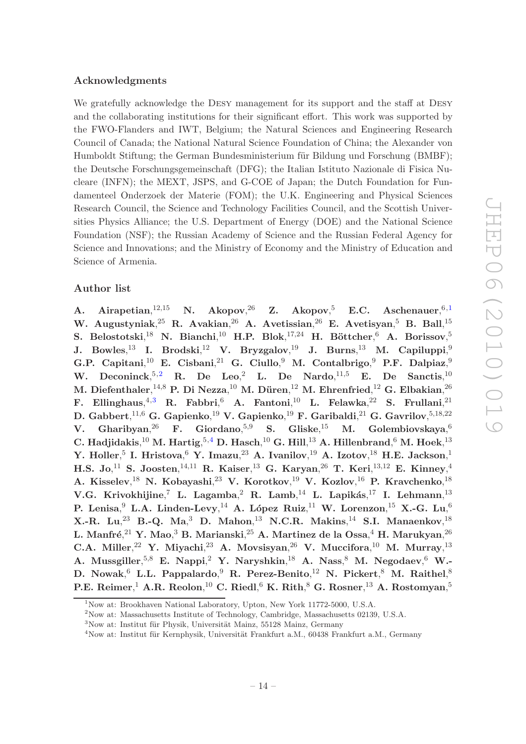## Acknowledgments

We gratefully acknowledge the DESY management for its support and the staff at DESY and the collaborating institutions for their significant effort. This work was supported by the FWO-Flanders and IWT, Belgium; the Natural Sciences and Engineering Research Council of Canada; the National Natural Science Foundation of China; the Alexander von Humboldt Stiftung; the German Bundesministerium für Bildung und Forschung (BMBF); the Deutsche Forschungsgemeinschaft (DFG); the Italian Istituto Nazionale di Fisica Nucleare (INFN); the MEXT, JSPS, and G-COE of Japan; the Dutch Foundation for Fundamenteel Onderzoek der Materie (FOM); the U.K. Engineering and Physical Sciences Research Council, the Science and Technology Facilities Council, and the Scottish Universities Physics Alliance; the U.S. Department of Energy (DOE) and the National Science Foundation (NSF); the Russian Academy of Science and the Russian Federal Agency for Science and Innovations; and the Ministry of Economy and the Ministry of Education and Science of Armenia.

# Author list

A. Airapetian,  $12,15$ <sup>[1](#page-14-0)2,15</sup> N. Akopov,<sup>26</sup> Z. Akopov,<sup>5</sup> E.C. Aschenauer,<sup>6,1</sup> W. Augustyniak, $^{25}$  R. Avakian, $^{26}$  A. Avetissian, $^{26}$  E. Avetisyan, $^{5}$  B. Ball, $^{15}$ S. Belostotski,<sup>18</sup> N. Bianchi,<sup>10</sup> H.P. Blok,<sup>17,24</sup> H. Böttcher,<sup>6</sup> A. Borissov,<sup>5</sup> J. Bowles, $^{13}$  I. Brodski, $^{12}$  V. Bryzgalov, $^{19}$  J. Burns, $^{13}$  M. Capiluppi, $^{9}$ G.P. Capitani,<sup>10</sup> E. Cisbani,<sup>21</sup> G. Ciullo,<sup>9</sup> M. Contalbrigo,<sup>9</sup> P.F. Dalpiaz,<sup>9</sup> W. Deconinck,  $5,2$  $5,2$  R. De Leo, L. De Nardo,  $^{11,5}$  E. De Sanctis,  $^{10}$ M. Diefenthaler, $^{14,8}$  P. Di Nezza, $^{10}$  M. Düren, $^{12}$  M. Ehrenfried, $^{12}$  G. Elbakian, $^{26}$ F. Ellinghaus, $^{4,3}$  $^{4,3}$  $^{4,3}$  R. Fabbri, $^{6}$  A. Fantoni, $^{10}$  L. Felawka, $^{22}$  S. Frullani, $^{21}$ D. Gabbert, $^{11,6}$  G. Gapienko, $^{19}$  V. Gapienko, $^{19}$  F. Garibaldi, $^{21}$  G. Gavrilov, $^{5,18,22}$ V. Gharibyan, $^{26}$  F. Giordano, $^{5,9}$  S. Gliske, $^{15}$  M. Golembiovskaya, $^6$ C. Hadjidakis, $^{10}$  M. Hartig, $^{5,4}$  $^{5,4}$  $^{5,4}$  D. Hasch, $^{10}$  G. Hill, $^{13}$  A. Hillenbrand, $^{6}$  M. Hoek, $^{13}$ Y. Holler, $^5$  I. Hristova, $^6$  Y. Imazu, $^{23}$  A. Ivanilov, $^{19}$  A. Izotov, $^{18}$  H.E. Jackson, $^1$ H.S. Jo, $^{11}$  S. Joosten, $^{14,11}$  R. Kaiser, $^{13}$  G. Karyan, $^{26}$  T. Keri, $^{13,12}$  E. Kinney, $^{4}$ A. Kisselev,<sup>18</sup> N. Kobayashi,<sup>23</sup> V. Korotkov,<sup>19</sup> V. Kozlov,<sup>16</sup> P. Kravchenko,<sup>18</sup> V.G. Krivokhijine, $^7$  L. Lagamba, $^2$  R. Lamb, $^{14}$  L. Lapikás, $^{17}$  I. Lehmann, $^{13}$ P. Lenisa, $^9$  L.A. Linden-Levy, $^{14}$  A. López Ruiz, $^{11}$  W. Lorenzon, $^{15}$  X.-G. Lu, $^6$ X.-R. Lu, $^{23}$  B.-Q. Ma, $^{3}$  D. Mahon, $^{13}$  N.C.R. Makins, $^{14}$  S.I. Manaenkov, $^{18}$ L. Manfré, $^{21}$  Y. Mao, $^3$  B. Marianski, $^{25}$  A. Martinez de la Ossa, $^4$  H. Marukyan, $^{26}$ C.A. Miller,<sup>22</sup> Y. Miyachi,<sup>23</sup> A. Movsisyan,<sup>26</sup> V. Muccifora,<sup>10</sup> M. Murray,<sup>13</sup> A. Mussgiller, ${}^{5,8}$  E. Nappi, ${}^{2}$  Y. Naryshkin, ${}^{18}$  A. Nass, ${}^{8}$  M. Negodaev, ${}^{6}$  W.-D. Nowak, $^6$  L.L. Pappalardo, $^9$  R. Perez-Benito, $^{12}$  N. Pickert, $^8$  M. Raithel, $^8$ P.E. Reimer, $^1$  A.R. Reolon, $^{10}$  C. Riedl, $^6$  K. Rith, $^8$  G. Rosner, $^{13}$  A. Rostomyan, $^5$ 

<sup>&</sup>lt;sup>1</sup>Now at: Brookhaven National Laboratory, Upton, New York 11772-5000, U.S.A.

<span id="page-14-0"></span><sup>2</sup>Now at: Massachusetts Institute of Technology, Cambridge, Massachusetts 02139, U.S.A.

<span id="page-14-1"></span> $3$ Now at: Institut für Physik, Universität Mainz, 55128 Mainz, Germany

<span id="page-14-3"></span><span id="page-14-2"></span> $4$ Now at: Institut für Kernphysik, Universität Frankfurt a.M., 60438 Frankfurt a.M., Germany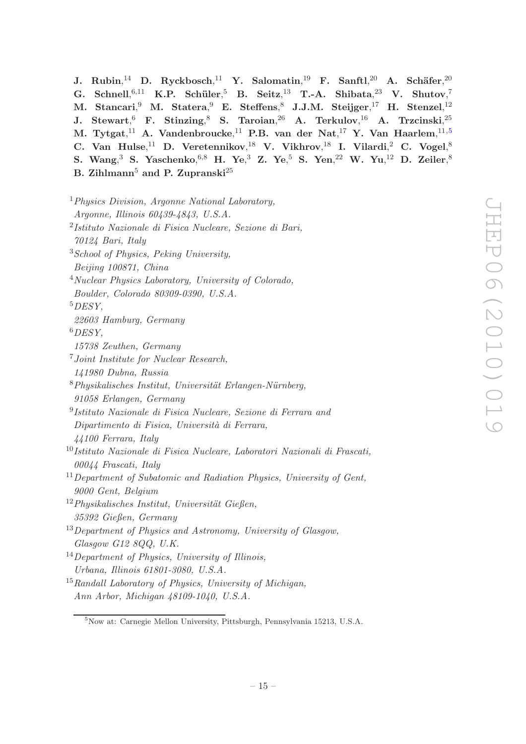$\,$ J. Rubin, $^{14}$  D. Ryckbosch, $^{11}$  Y. Salomatin, $^{19}$  F. Sanftl, $^{20}$  A. Schäfer, $^{20}$ G. Schnell,  $6,11$  K.P. Schüler,  $5$  B. Seitz,  $13$  T.-A. Shibata,  $23$  V. Shutov,  $7$ M. Stancari,<sup>9</sup> M. Statera,<sup>9</sup> E. Steffens,<sup>8</sup> J.J.M. Steijger,<sup>17</sup> H. Stenzel,<sup>12</sup>  ${\bf J.~Stewart,^6~F.~Stinzing,^8~S.~Taroian,^{26}~A.~Terkulov,^{16}~A.~Trzcinski,^{25}~.}$ M. Tytgat, $^{11}$  A. Vandenbroucke, $^{11}$  P.B. van der Nat, $^{17}$  Y. Van Haarlem, $^{11,5}$  $^{11,5}$  $^{11,5}$ C. Van Hulse,<sup>11</sup> D. Veretennikov,<sup>18</sup> V. Vikhrov,<sup>18</sup> I. Vilardi,<sup>2</sup> C. Vogel,<sup>8</sup> S. Wang,<sup>3</sup> S. Yaschenko,<sup>6,8</sup> H. Ye,<sup>3</sup> Z. Ye,<sup>5</sup> S. Yen,<sup>22</sup> W. Yu,<sup>12</sup> D. Zeiler,<sup>8</sup> B. Zihlmann<sup>5</sup> and P. Zupranski<sup>25</sup>

<sup>1</sup>*Physics Division, Argonne National Laboratory, Argonne, Illinois 60439-4843, U.S.A.* 2 *Istituto Nazionale di Fisica Nucleare, Sezione di Bari, 70124 Bari, Italy* <sup>3</sup>*School of Physics, Peking University, Beijing 100871, China* <sup>4</sup>*Nuclear Physics Laboratory, University of Colorado, Boulder, Colorado 80309-0390, U.S.A.* <sup>5</sup>*DESY, 22603 Hamburg, Germany* <sup>6</sup>*DESY, 15738 Zeuthen, Germany* <sup>7</sup>*Joint Institute for Nuclear Research, 141980 Dubna, Russia* <sup>8</sup>*Physikalisches Institut, Universit¨at Erlangen-N¨urnberg, 91058 Erlangen, Germany* 9 *Istituto Nazionale di Fisica Nucleare, Sezione di Ferrara and Dipartimento di Fisica, Universit`a di Ferrara, 44100 Ferrara, Italy* <sup>10</sup>*Istituto Nazionale di Fisica Nucleare, Laboratori Nazionali di Frascati, 00044 Frascati, Italy* <sup>11</sup>*Department of Subatomic and Radiation Physics, University of Gent, 9000 Gent, Belgium* <sup>12</sup>Physikalisches Institut, Universität Gießen, *35392 Gießen, Germany* <sup>13</sup>*Department of Physics and Astronomy, University of Glasgow, Glasgow G12 8QQ, U.K.* <sup>14</sup>*Department of Physics, University of Illinois, Urbana, Illinois 61801-3080, U.S.A.* <sup>15</sup>*Randall Laboratory of Physics, University of Michigan, Ann Arbor, Michigan 48109-1040, U.S.A.*

<span id="page-15-0"></span><sup>5</sup>Now at: Carnegie Mellon University, Pittsburgh, Pennsylvania 15213, U.S.A.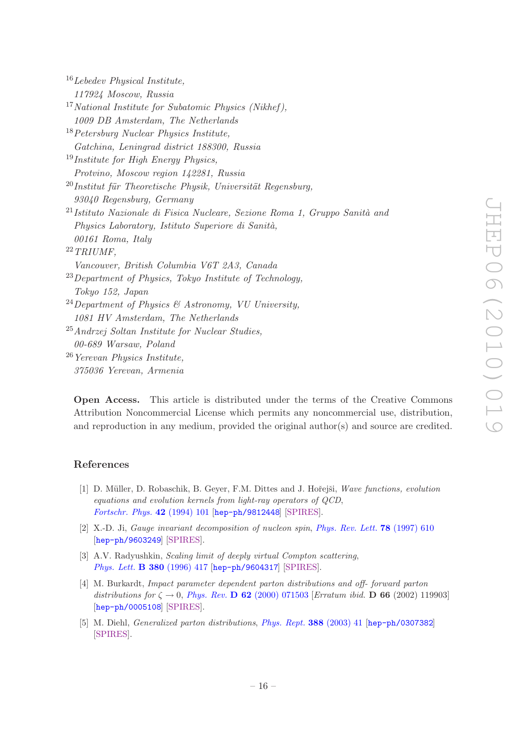| $16$ Lebedev Physical Institute,                                                       |
|----------------------------------------------------------------------------------------|
| 117924 Moscow, Russia                                                                  |
| $17 National Institute for Subatomic Physics (Nikhef),$                                |
| 1009 DB Amsterdam, The Netherlands                                                     |
| $18$ Petersburg Nuclear Physics Institute,                                             |
| Gatchina, Leningrad district 188300, Russia                                            |
| $19$ Institute for High Energy Physics,                                                |
| Protvino, Moscow region 142281, Russia                                                 |
| $^{20}$ Institut für Theoretische Physik, Universität Regensburg,                      |
| 93040 Regensburg, Germany                                                              |
| <sup>21</sup> Istituto Nazionale di Fisica Nucleare, Sezione Roma 1, Gruppo Sanità and |
| Physics Laboratory, Istituto Superiore di Sanità,                                      |
| 00161 Roma, Italy                                                                      |
| $22$ TRIUMF,                                                                           |
| Vancouver, British Columbia V6T 2A3, Canada                                            |
| <sup>23</sup> Department of Physics, Tokyo Institute of Technology,                    |
| Tokyo 152, Japan                                                                       |
| <sup>24</sup> Department of Physics & Astronomy, VU University,                        |
| 1081 HV Amsterdam, The Netherlands                                                     |
| $^{25}$ Andrzej Soltan Institute for Nuclear Studies,                                  |
| 00-689 Warsaw, Poland                                                                  |
| <sup>26</sup> Yerevan Physics Institute,                                               |
| 375036 Yerevan, Armenia                                                                |
|                                                                                        |

Open Access. This article is distributed under the terms of the Creative Commons Attribution Noncommercial License which permits any noncommercial use, distribution, and reproduction in any medium, provided the original author(s) and source are credited.

# References

- <span id="page-16-0"></span>[1] D. Müller, D. Robaschik, B. Gever, F.M. Dittes and J. Hořeiši, *Wave functions, evolution equations and evolution kernels from light-ray operators of QCD*, *[Fortschr. Phys.](http://dx.doi.org/10.1002/prop.2190420202)* 42 (1994) 101 [[hep-ph/9812448](http://arxiv.org/abs/hep-ph/9812448)] [\[SPIRES\]](http://www-spires.slac.stanford.edu/spires/find/hep/www?eprint=HEP-PH/9812448).
- <span id="page-16-2"></span>[2] X.-D. Ji, *Gauge invariant decomposition of nucleon spin*, *[Phys. Rev. Lett.](http://dx.doi.org/10.1103/PhysRevLett.78.610)* 78 (1997) 610 [[hep-ph/9603249](http://arxiv.org/abs/hep-ph/9603249)] [\[SPIRES\]](http://www-spires.slac.stanford.edu/spires/find/hep/www?eprint=HEP-PH/9603249).
- <span id="page-16-1"></span>[3] A.V. Radyushkin, *Scaling limit of deeply virtual Compton scattering*, *[Phys. Lett.](http://dx.doi.org/10.1016/0370-2693(96)00528-X)* B 380 (1996) 417 [[hep-ph/9604317](http://arxiv.org/abs/hep-ph/9604317)] [\[SPIRES\]](http://www-spires.slac.stanford.edu/spires/find/hep/www?eprint=HEP-PH/9604317).
- <span id="page-16-3"></span>[4] M. Burkardt, *Impact parameter dependent parton distributions and off- forward parton distributions for*  $\zeta \to 0$ , *Phys. Rev.* **D 62** [\(2000\) 071503](http://dx.doi.org/10.1103/PhysRevD.62.071503) [*Erratum ibid.* **D 66** (2002) 119903] [[hep-ph/0005108](http://arxiv.org/abs/hep-ph/0005108)] [\[SPIRES\]](http://www-spires.slac.stanford.edu/spires/find/hep/www?eprint=HEP-PH/0005108).
- <span id="page-16-4"></span>[5] M. Diehl, *Generalized parton distributions*, *[Phys. Rept.](http://dx.doi.org/10.1016/j.physrep.2003.08.002)* 388 (2003) 41 [[hep-ph/0307382](http://arxiv.org/abs/hep-ph/0307382)] [\[SPIRES\]](http://www-spires.slac.stanford.edu/spires/find/hep/www?eprint=HEP-PH/0307382).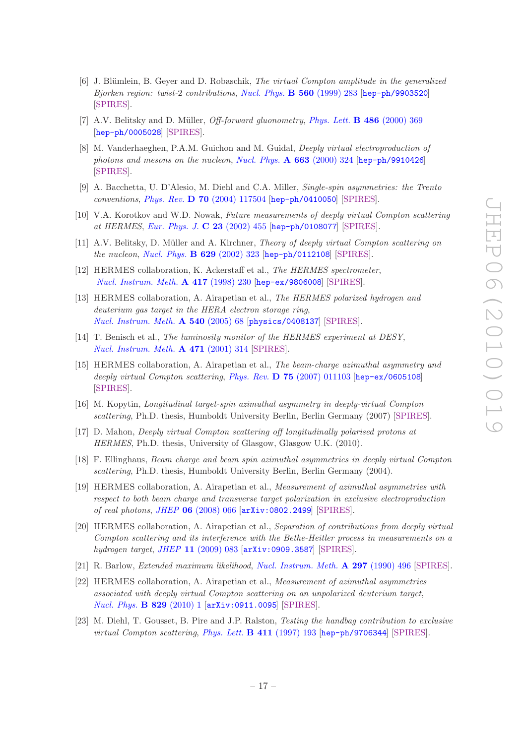- <span id="page-17-0"></span>[6] J. Blümlein, B. Geyer and D. Robaschik, *The virtual Compton amplitude in the generalized Bjorken region: twist-*2 *contributions*, *[Nucl. Phys.](http://dx.doi.org/10.1016/S0550-3213(99)00418-6)* B 560 (1999) 283 [[hep-ph/9903520](http://arxiv.org/abs/hep-ph/9903520)] [\[SPIRES\]](http://www-spires.slac.stanford.edu/spires/find/hep/www?eprint=HEP-PH/9903520).
- <span id="page-17-1"></span>[7] A.V. Belitsky and D. Müller, *Off-forward gluonometry*, *[Phys. Lett.](http://dx.doi.org/10.1016/S0370-2693(00)00773-5)* **B 486** (2000) 369 [[hep-ph/0005028](http://arxiv.org/abs/hep-ph/0005028)] [\[SPIRES\]](http://www-spires.slac.stanford.edu/spires/find/hep/www?eprint=HEP-PH/0005028).
- <span id="page-17-2"></span>[8] M. Vanderhaeghen, P.A.M. Guichon and M. Guidal, *Deeply virtual electroproduction of photons and mesons on the nucleon*, *[Nucl. Phys.](http://dx.doi.org/10.1016/S0375-9474(99)00608-9)* A 663 (2000) 324 [[hep-ph/9910426](http://arxiv.org/abs/hep-ph/9910426)] [\[SPIRES\]](http://www-spires.slac.stanford.edu/spires/find/hep/www?eprint=HEP-PH/9910426).
- <span id="page-17-3"></span>[9] A. Bacchetta, U. D'Alesio, M. Diehl and C.A. Miller, *Single-spin asymmetries: the Trento conventions*, *Phys. Rev.* D 70 [\(2004\) 117504](http://dx.doi.org/10.1103/PhysRevD.70.117504) [[hep-ph/0410050](http://arxiv.org/abs/hep-ph/0410050)] [\[SPIRES\]](http://www-spires.slac.stanford.edu/spires/find/hep/www?eprint=HEP-PH/0410050).
- <span id="page-17-4"></span>[10] V.A. Korotkov and W.D. Nowak, *Future measurements of deeply virtual Compton scattering at HERMES*, *[Eur. Phys. J.](http://dx.doi.org/10.1007/s100520100835)* C 23 (2002) 455 [[hep-ph/0108077](http://arxiv.org/abs/hep-ph/0108077)] [\[SPIRES\]](http://www-spires.slac.stanford.edu/spires/find/hep/www?eprint=HEP-PH/0108077).
- <span id="page-17-5"></span>[11] A.V. Belitsky, D. M¨uller and A. Kirchner, *Theory of deeply virtual Compton scattering on the nucleon*, *[Nucl. Phys.](http://dx.doi.org/10.1016/S0550-3213(02)00144-X)* B 629 (2002) 323 [[hep-ph/0112108](http://arxiv.org/abs/hep-ph/0112108)] [\[SPIRES\]](http://www-spires.slac.stanford.edu/spires/find/hep/www?eprint=HEP-PH/0112108).
- <span id="page-17-6"></span>[12] HERMES collaboration, K. Ackerstaff et al., *The HERMES spectrometer*, *[Nucl. Instrum. Meth.](http://dx.doi.org/10.1016/S0168-9002(98)00769-4)* A 417 (1998) 230 [[hep-ex/9806008](http://arxiv.org/abs/hep-ex/9806008)] [\[SPIRES\]](http://www-spires.slac.stanford.edu/spires/find/hep/www?eprint=HEP-EX/9806008).
- <span id="page-17-7"></span>[13] HERMES collaboration, A. Airapetian et al., *The HERMES polarized hydrogen and deuterium gas target in the HERA electron storage ring*, *[Nucl. Instrum. Meth.](http://dx.doi.org/10.1016/j.nima.2004.11.020)* A 540 (2005) 68 [[physics/0408137](http://arxiv.org/abs/physics/0408137)] [\[SPIRES\]](http://www-spires.slac.stanford.edu/spires/find/hep/www?eprint=PHYSICS/0408137).
- <span id="page-17-8"></span>[14] T. Benisch et al., *The luminosity monitor of the HERMES experiment at DESY*, *[Nucl. Instrum. Meth.](http://dx.doi.org/10.1016/S0168-9002(01)00806-3)* A 471 (2001) 314 [\[SPIRES\]](http://www-spires.slac.stanford.edu/spires/find/hep/www?j=NUIMA,A471,314).
- <span id="page-17-9"></span>[15] HERMES collaboration, A. Airapetian et al., *The beam-charge azimuthal asymmetry and deeply virtual Compton scattering*, *Phys. Rev.* D 75 [\(2007\) 011103](http://dx.doi.org/10.1103/PhysRevD.75.011103) [[hep-ex/0605108](http://arxiv.org/abs/hep-ex/0605108)] [\[SPIRES\]](http://www-spires.slac.stanford.edu/spires/find/hep/www?eprint=HEP-EX/0605108).
- [16] M. Kopytin, *Longitudinal target-spin azimuthal asymmetry in deeply-virtual Compton scattering*, Ph.D. thesis, Humboldt University Berlin, Berlin Germany (2007) [\[SPIRES\]](http://www-spires.dur.ac.uk/cgi-bin/spiface/hep/www?key=7659229).
- <span id="page-17-10"></span>[17] D. Mahon, *Deeply virtual Compton scattering off longitudinally polarised protons at HERMES*, Ph.D. thesis, University of Glasgow, Glasgow U.K. (2010).
- <span id="page-17-11"></span>[18] F. Ellinghaus, *Beam charge and beam spin azimuthal asymmetries in deeply virtual Compton scattering*, Ph.D. thesis, Humboldt University Berlin, Berlin Germany (2004).
- <span id="page-17-12"></span>[19] HERMES collaboration, A. Airapetian et al., *Measurement of azimuthal asymmetries with respect to both beam charge and transverse target polarization in exclusive electroproduction of real photons*, *JHEP* 06 [\(2008\) 066](http://dx.doi.org/10.1088/1126-6708/2008/06/066) [[arXiv:0802.2499](http://arxiv.org/abs/0802.2499)] [\[SPIRES\]](http://www-spires.slac.stanford.edu/spires/find/hep/www?eprint=0802.2499).
- <span id="page-17-13"></span>[20] HERMES collaboration, A. Airapetian et al., *Separation of contributions from deeply virtual Compton scattering and its interference with the Bethe-Heitler process in measurements on a hydrogen target*, *JHEP* 11 [\(2009\) 083](http://dx.doi.org/10.1088/1126-6708/2009/11/083) [[arXiv:0909.3587](http://arxiv.org/abs/0909.3587)] [\[SPIRES\]](http://www-spires.slac.stanford.edu/spires/find/hep/www?eprint=0909.3587).
- <span id="page-17-14"></span>[21] R. Barlow, *Extended maximum likelihood*, *[Nucl. Instrum. Meth.](http://dx.doi.org/10.1016/0168-9002(90)91334-8)* A 297 (1990) 496 [\[SPIRES\]](http://www-spires.slac.stanford.edu/spires/find/hep/www?j=NUIMA,A297,496).
- <span id="page-17-15"></span>[22] HERMES collaboration, A. Airapetian et al., *Measurement of azimuthal asymmetries associated with deeply virtual Compton scattering on an unpolarized deuterium target*, *[Nucl. Phys.](http://dx.doi.org/10.1016/j.nuclphysb.2009.12.004)* B 829 (2010) 1 [[arXiv:0911.0095](http://arxiv.org/abs/0911.0095)] [\[SPIRES\]](http://www-spires.slac.stanford.edu/spires/find/hep/www?eprint=0911.0095).
- <span id="page-17-16"></span>[23] M. Diehl, T. Gousset, B. Pire and J.P. Ralston, *Testing the handbag contribution to exclusive virtual Compton scattering*, *[Phys. Lett.](http://dx.doi.org/10.1016/S0370-2693(97)00959-3)* B 411 (1997) 193 [[hep-ph/9706344](http://arxiv.org/abs/hep-ph/9706344)] [\[SPIRES\]](http://www-spires.slac.stanford.edu/spires/find/hep/www?eprint=HEP-PH/9706344).